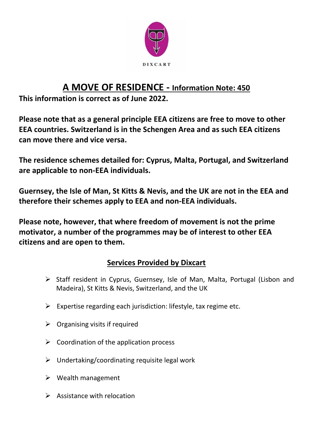

#### **A MOVE OF RESIDENCE - Information Note: 450**

**This information is correct as of June 2022.**

**Please note that as a general principle EEA citizens are free to move to other EEA countries. Switzerland is in the Schengen Area and as such EEA citizens can move there and vice versa.** 

**The residence schemes detailed for: Cyprus, Malta, Portugal, and Switzerland are applicable to non-EEA individuals.** 

**Guernsey, the Isle of Man, St Kitts & Nevis, and the UK are not in the EEA and therefore their schemes apply to EEA and non-EEA individuals.** 

**Please note, however, that where freedom of movement is not the prime motivator, a number of the programmes may be of interest to other EEA citizens and are open to them.** 

#### **Services Provided by Dixcart**

- ➢ Staff resident in Cyprus, Guernsey, Isle of Man, Malta, Portugal (Lisbon and Madeira), St Kitts & Nevis, Switzerland, and the UK
- $\triangleright$  Expertise regarding each jurisdiction: lifestyle, tax regime etc.
- $\triangleright$  Organising visits if required
- $\triangleright$  Coordination of the application process
- $\triangleright$  Undertaking/coordinating requisite legal work
- $\triangleright$  Wealth management
- $\triangleright$  Assistance with relocation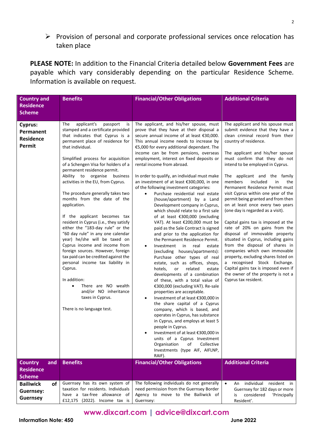➢ Provision of personal and corporate professional services once relocation has taken place

**PLEASE NOTE:** In addition to the Financial Criteria detailed below **Government Fees** are payable which vary considerably depending on the particular Residence Scheme. Information is available on request.

| <b>Country and</b>                                 | <b>Benefits</b>                                                                                                                                                                                                                                                                                                                                                                                                                                                                                                                                                                                                                                                                                                                                                                                                                                                                                                   | <b>Financial/Other Obligations</b>                                                                                                                                                                                                                                                                                                                                                                                                                                                                                                                                                                                                                                                                                                                                                                                                                                                                                                                                                                                                                                                                                                                                                                                                                                                                                                                                                                                                                                                                                                                   | <b>Additional Criteria</b>                                                                                                                                                                                                                                                                                                                                                                                                                                                                                                                                                                                                                                                                                                                                                                                                                                                                                 |
|----------------------------------------------------|-------------------------------------------------------------------------------------------------------------------------------------------------------------------------------------------------------------------------------------------------------------------------------------------------------------------------------------------------------------------------------------------------------------------------------------------------------------------------------------------------------------------------------------------------------------------------------------------------------------------------------------------------------------------------------------------------------------------------------------------------------------------------------------------------------------------------------------------------------------------------------------------------------------------|------------------------------------------------------------------------------------------------------------------------------------------------------------------------------------------------------------------------------------------------------------------------------------------------------------------------------------------------------------------------------------------------------------------------------------------------------------------------------------------------------------------------------------------------------------------------------------------------------------------------------------------------------------------------------------------------------------------------------------------------------------------------------------------------------------------------------------------------------------------------------------------------------------------------------------------------------------------------------------------------------------------------------------------------------------------------------------------------------------------------------------------------------------------------------------------------------------------------------------------------------------------------------------------------------------------------------------------------------------------------------------------------------------------------------------------------------------------------------------------------------------------------------------------------------|------------------------------------------------------------------------------------------------------------------------------------------------------------------------------------------------------------------------------------------------------------------------------------------------------------------------------------------------------------------------------------------------------------------------------------------------------------------------------------------------------------------------------------------------------------------------------------------------------------------------------------------------------------------------------------------------------------------------------------------------------------------------------------------------------------------------------------------------------------------------------------------------------------|
| <b>Residence</b>                                   |                                                                                                                                                                                                                                                                                                                                                                                                                                                                                                                                                                                                                                                                                                                                                                                                                                                                                                                   |                                                                                                                                                                                                                                                                                                                                                                                                                                                                                                                                                                                                                                                                                                                                                                                                                                                                                                                                                                                                                                                                                                                                                                                                                                                                                                                                                                                                                                                                                                                                                      |                                                                                                                                                                                                                                                                                                                                                                                                                                                                                                                                                                                                                                                                                                                                                                                                                                                                                                            |
| <b>Scheme</b>                                      |                                                                                                                                                                                                                                                                                                                                                                                                                                                                                                                                                                                                                                                                                                                                                                                                                                                                                                                   |                                                                                                                                                                                                                                                                                                                                                                                                                                                                                                                                                                                                                                                                                                                                                                                                                                                                                                                                                                                                                                                                                                                                                                                                                                                                                                                                                                                                                                                                                                                                                      |                                                                                                                                                                                                                                                                                                                                                                                                                                                                                                                                                                                                                                                                                                                                                                                                                                                                                                            |
| Cyprus:<br>Permanent<br><b>Residence</b><br>Permit | The<br>applicant's<br>passport<br>is<br>stamped and a certificate provided<br>that indicates that Cyprus is a<br>permanent place of residence for<br>that individual.<br>Simplified process for acquisition<br>of a Schengen Visa for holders of a<br>permanent residence permit.<br>Ability to organise<br>business<br>activities in the EU, from Cyprus.<br>The procedure generally takes two<br>months from the date of the<br>application.<br>If the applicant becomes tax<br>resident in Cyprus (i.e., they satisfy<br>either the "183-day rule" or the<br>"60 day rule" in any one calendar<br>year) he/she will be taxed on<br>Cyprus income and income from<br>foreign sources. However, foreign<br>tax paid can be credited against the<br>personal income tax liability in<br>Cyprus.<br>In addition:<br>There are NO wealth<br>and/or NO inheritance<br>taxes in Cyprus.<br>There is no language test. | The applicant, and his/her spouse, must<br>prove that they have at their disposal a<br>secure annual income of at least €30,000.<br>This annual income needs to increase by<br>€5,000 for every additional dependant. The<br>income can be from pensions, overseas<br>employment, interest on fixed deposits or<br>rental income from abroad.<br>In order to qualify, an individual must make<br>an investment of at least €300,000, in one<br>of the following investment categories:<br>Purchase residential real estate<br>$\bullet$<br>(house/apartment) by a Land<br>Development company in Cyprus,<br>which should relate to a first sale<br>of at least €300,000 (excluding<br>VAT). At least €200,000 must be<br>paid as the Sale Contract is signed<br>and prior to the application for<br>the Permanent Residence Permit.<br>real<br>Investment<br>in in<br>estate<br>$\bullet$<br>(excluding houses/apartments):<br>Purchase other types of real<br>estate, such as offices, shops,<br>hotels,<br>or<br>related<br>estate<br>developments of a combination<br>of these, with a total value of<br>€300,000 (excluding VAT). Re-sale<br>properties are acceptable.<br>Investment of at least €300,000 in<br>$\bullet$<br>the share capital of a Cyprus<br>company, which is based, and<br>operates in Cyprus, has substance<br>in Cyprus, and employs at least 5<br>people in Cyprus.<br>Investment of at least €300,000 in<br>units of a Cyprus Investment<br>Organisation<br>of<br>Collective<br>Investments (type AIF, AIFLNP,<br>RAIF). | The applicant and his spouse must<br>submit evidence that they have a<br>clean criminal record from their<br>country of residence.<br>The applicant and his/her spouse<br>must confirm that they do not<br>intend to be employed in Cyprus.<br>The applicant and the family<br>members<br>included<br>in<br>the<br>Permanent Residence Permit must<br>visit Cyprus within one year of the<br>permit being granted and from then<br>on at least once every two years<br>(one day is regarded as a visit).<br>Capital gains tax is imposed at the<br>rate of 20% on gains from the<br>disposal of immovable property<br>situated in Cyprus, including gains<br>from the disposal of shares in<br>companies which own immovable<br>property, excluding shares listed on<br>a recognised Stock Exchange.<br>Capital gains tax is imposed even if<br>the owner of the property is not a<br>Cyprus tax resident. |
| <b>Country</b><br>and<br><b>Residence</b>          | <b>Benefits</b>                                                                                                                                                                                                                                                                                                                                                                                                                                                                                                                                                                                                                                                                                                                                                                                                                                                                                                   | <b>Financial/Other Obligations</b>                                                                                                                                                                                                                                                                                                                                                                                                                                                                                                                                                                                                                                                                                                                                                                                                                                                                                                                                                                                                                                                                                                                                                                                                                                                                                                                                                                                                                                                                                                                   | <b>Additional Criteria</b>                                                                                                                                                                                                                                                                                                                                                                                                                                                                                                                                                                                                                                                                                                                                                                                                                                                                                 |
| <b>Scheme</b>                                      |                                                                                                                                                                                                                                                                                                                                                                                                                                                                                                                                                                                                                                                                                                                                                                                                                                                                                                                   |                                                                                                                                                                                                                                                                                                                                                                                                                                                                                                                                                                                                                                                                                                                                                                                                                                                                                                                                                                                                                                                                                                                                                                                                                                                                                                                                                                                                                                                                                                                                                      |                                                                                                                                                                                                                                                                                                                                                                                                                                                                                                                                                                                                                                                                                                                                                                                                                                                                                                            |
| <b>Bailiwick</b><br>of                             | Guernsey has its own system of<br>taxation for residents. Individuals                                                                                                                                                                                                                                                                                                                                                                                                                                                                                                                                                                                                                                                                                                                                                                                                                                             | The following individuals do not generally<br>need permission from the Guernsey Border                                                                                                                                                                                                                                                                                                                                                                                                                                                                                                                                                                                                                                                                                                                                                                                                                                                                                                                                                                                                                                                                                                                                                                                                                                                                                                                                                                                                                                                               | $\bullet$<br>individual<br>resident in<br>An<br>Guernsey for 182 days or more                                                                                                                                                                                                                                                                                                                                                                                                                                                                                                                                                                                                                                                                                                                                                                                                                              |
| Guernsey:<br><b>Guernsey</b>                       | have a tax-free allowance of                                                                                                                                                                                                                                                                                                                                                                                                                                                                                                                                                                                                                                                                                                                                                                                                                                                                                      | Agency to move to the Bailiwick of                                                                                                                                                                                                                                                                                                                                                                                                                                                                                                                                                                                                                                                                                                                                                                                                                                                                                                                                                                                                                                                                                                                                                                                                                                                                                                                                                                                                                                                                                                                   | considered<br>'Principally<br>is                                                                                                                                                                                                                                                                                                                                                                                                                                                                                                                                                                                                                                                                                                                                                                                                                                                                           |
|                                                    | £12,175 (2022). Income tax is                                                                                                                                                                                                                                                                                                                                                                                                                                                                                                                                                                                                                                                                                                                                                                                                                                                                                     | Guernsey:                                                                                                                                                                                                                                                                                                                                                                                                                                                                                                                                                                                                                                                                                                                                                                                                                                                                                                                                                                                                                                                                                                                                                                                                                                                                                                                                                                                                                                                                                                                                            | Resident'.                                                                                                                                                                                                                                                                                                                                                                                                                                                                                                                                                                                                                                                                                                                                                                                                                                                                                                 |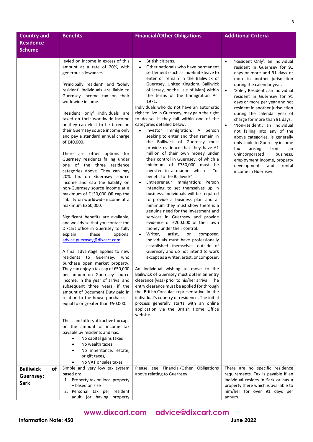| <b>Country and</b>            | <b>Benefits</b>                                                         | <b>Financial/Other Obligations</b>                                                           | <b>Additional Criteria</b>                                                |
|-------------------------------|-------------------------------------------------------------------------|----------------------------------------------------------------------------------------------|---------------------------------------------------------------------------|
| <b>Residence</b>              |                                                                         |                                                                                              |                                                                           |
| <b>Scheme</b>                 |                                                                         |                                                                                              |                                                                           |
|                               | levied on income in excess of this                                      | British citizens.<br>$\bullet$                                                               | 'Resident Only': an individual<br>$\bullet$                               |
|                               | amount at a rate of 20%, with                                           | Other nationals who have permanent                                                           | resident in Guernsey for 91                                               |
|                               | generous allowances.                                                    | settlement (such as indefinite leave to                                                      | days or more and 91 days or                                               |
|                               | 'Principally resident' and 'Solely                                      | enter or remain in the Bailiwick of<br>Guernsey, United Kingdom, Bailiwick                   | more in another jurisdiction<br>during the calendar year.                 |
|                               | resident' individuals are liable to                                     | of Jersey, or the Isle of Man) within                                                        | 'Solely Resident': an individual<br>$\bullet$                             |
|                               | Guernsey income tax on their                                            | the terms of the Immigration Act                                                             | resident in Guernsey for 91                                               |
|                               | worldwide income.                                                       | 1971.<br>Individuals who do not have an automatic                                            | days or more per year and not                                             |
|                               | 'Resident only' individuals are                                         | right to live in Guernsey, may gain the right                                                | resident in another jurisdiction<br>during the calendar year of           |
|                               | taxed on their worldwide income                                         | to do so, if they fall within one of the                                                     | charge for more than 91 days.                                             |
|                               | or they can elect to be taxed on                                        | categories detailed below:<br>Investor Immigration: A<br>$\bullet$                           | 'Non-resident': an individual                                             |
|                               | their Guernsey source income only<br>and pay a standard annual charge   | person<br>seeking to enter and then remain in                                                | not falling into any of the<br>above categories, is generally             |
|                               | of £40,000.                                                             | the Bailiwick of Guernsey must                                                               | only liable to Guernsey income                                            |
|                               |                                                                         | provide evidence that they have £1                                                           | tax<br>arising<br>from<br>an                                              |
|                               | There are other options for<br>Guernsey residents falling under         | million of their own money under<br>their control in Guernsey, of which a                    | unincorporated<br>business,<br>employment income, property                |
|                               | one of the three residence                                              | minimum of £750,000 must be                                                                  | development<br>and<br>rental                                              |
|                               | categories above. They can pay                                          | invested in a manner which is "of                                                            | income in Guernsey.                                                       |
|                               | 20% tax on Guernsey source<br>income and cap the liability on           | benefit to the Bailiwick".<br>Entrepreneur Immigration: Person                               |                                                                           |
|                               | non-Guernsey source income at a                                         | intending to set themselves up in                                                            |                                                                           |
|                               | maximum of £130,000 OR cap the                                          | business. Individuals will be required                                                       |                                                                           |
|                               | liability on worldwide income at a<br>maximum £260,000.                 | to provide a business plan and at<br>minimum they must show there is a                       |                                                                           |
|                               |                                                                         | genuine need for the investment and                                                          |                                                                           |
|                               | Significant benefits are available,                                     | services in Guernsey and provide                                                             |                                                                           |
|                               | and we advise that you contact the                                      | evidence of £200,000 of their own                                                            |                                                                           |
|                               | Dixcart office in Guernsey to fully<br>explain<br>these<br>options:     | money under their control.<br>Writer,<br>artist,<br>composer.<br>or                          |                                                                           |
|                               | advice.guernsey@dixcart.com.                                            | Individuals must have professionally                                                         |                                                                           |
|                               |                                                                         | established themselves outside of                                                            |                                                                           |
|                               | A final advantage applies to new<br>residents to Guernsey, who          | Guernsey and do not intend to work<br>except as a writer, artist, or composer.               |                                                                           |
|                               | purchase open market property.                                          |                                                                                              |                                                                           |
|                               | They can enjoy a tax cap of £50,000                                     | An individual wishing to move to the                                                         |                                                                           |
|                               | per annum on Guernsey source<br>income, in the year of arrival and      | Bailiwick of Guernsey must obtain an entry<br>clearance (visa) prior to his/her arrival. The |                                                                           |
|                               | subsequent three years, if the                                          | entry clearance must be applied for through                                                  |                                                                           |
|                               | amount of Document Duty paid in                                         | the British Consular representative in the                                                   |                                                                           |
|                               | relation to the house purchase, is<br>equal to or greater than £50,000. | individual's country of residence. The initial<br>process generally starts with an online    |                                                                           |
|                               |                                                                         | application via the British Home Office                                                      |                                                                           |
|                               |                                                                         | website.                                                                                     |                                                                           |
|                               | The island offers attractive tax caps<br>on the amount of income tax    |                                                                                              |                                                                           |
|                               | payable by residents and has:                                           |                                                                                              |                                                                           |
|                               | No capital gains taxes                                                  |                                                                                              |                                                                           |
|                               | No wealth taxes                                                         |                                                                                              |                                                                           |
|                               | No inheritance, estate,<br>or gift taxes,                               |                                                                                              |                                                                           |
|                               | No VAT or sales taxes                                                   |                                                                                              |                                                                           |
| <b>of</b><br><b>Bailiwick</b> | Simple and very low tax system                                          | Please see Financial/Other Obligations                                                       | There are no specific residence                                           |
| Guernsey:                     | based on:<br>1. Property tax on local property                          | above relating to Guernsey.                                                                  | requirements. Tax is payable if an<br>individual resides in Sark or has a |
| <b>Sark</b>                   | - based on size                                                         |                                                                                              | property there which is available to                                      |
|                               | 2. Personal tax per resident                                            |                                                                                              | him/her for over 91 days per                                              |
|                               | adult (or having property                                               |                                                                                              | annum.                                                                    |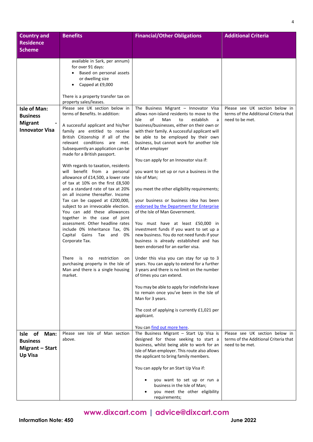| <b>Country and</b>                                                                | <b>Benefits</b>                                                                                                                                                                                                                                                                                                                                                                                                                                                                                                                                                                                                                                                                                                                                                                                                                                                                                                  | <b>Financial/Other Obligations</b>                                                                                                                                                                                                                                                                                                                                                                                                                                                                                                                                                                                                                                                                                                                                                                                                                                                                                                                                                                                                                                                                                  | <b>Additional Criteria</b>                                                                 |
|-----------------------------------------------------------------------------------|------------------------------------------------------------------------------------------------------------------------------------------------------------------------------------------------------------------------------------------------------------------------------------------------------------------------------------------------------------------------------------------------------------------------------------------------------------------------------------------------------------------------------------------------------------------------------------------------------------------------------------------------------------------------------------------------------------------------------------------------------------------------------------------------------------------------------------------------------------------------------------------------------------------|---------------------------------------------------------------------------------------------------------------------------------------------------------------------------------------------------------------------------------------------------------------------------------------------------------------------------------------------------------------------------------------------------------------------------------------------------------------------------------------------------------------------------------------------------------------------------------------------------------------------------------------------------------------------------------------------------------------------------------------------------------------------------------------------------------------------------------------------------------------------------------------------------------------------------------------------------------------------------------------------------------------------------------------------------------------------------------------------------------------------|--------------------------------------------------------------------------------------------|
| <b>Residence</b><br><b>Scheme</b>                                                 |                                                                                                                                                                                                                                                                                                                                                                                                                                                                                                                                                                                                                                                                                                                                                                                                                                                                                                                  |                                                                                                                                                                                                                                                                                                                                                                                                                                                                                                                                                                                                                                                                                                                                                                                                                                                                                                                                                                                                                                                                                                                     |                                                                                            |
|                                                                                   | available in Sark, per annum)<br>for over 91 days:<br>Based on personal assets<br>or dwelling size<br>Capped at £9,000<br>There is a property transfer tax on<br>property sales/leases.                                                                                                                                                                                                                                                                                                                                                                                                                                                                                                                                                                                                                                                                                                                          |                                                                                                                                                                                                                                                                                                                                                                                                                                                                                                                                                                                                                                                                                                                                                                                                                                                                                                                                                                                                                                                                                                                     |                                                                                            |
| <b>Isle of Man:</b><br><b>Business</b><br><b>Migrant</b><br><b>Innovator Visa</b> | Please see UK section below in<br>terms of Benefits. In addition:<br>A successful applicant and his/her<br>family are entitled to receive<br>British Citizenship if all of the<br>relevant conditions are met.<br>Subsequently an application can be<br>made for a British passport.<br>With regards to taxation, residents<br>will benefit from a personal<br>allowance of £14,500, a lower rate<br>of tax at 10% on the first £8,500<br>and a standard rate of tax at 20%<br>on all income thereafter. Income<br>Tax can be capped at £200,000,<br>subject to an irrevocable election.<br>You can add these allowances<br>together in the case of joint<br>assessment. Other headline rates<br>include 0% Inheritance Tax, 0%<br>Capital Gains Tax and<br>0%<br>Corporate Tax.<br>There<br>is<br>restriction<br>no<br>on<br>purchasing property in the Isle of<br>Man and there is a single housing<br>market. | The Business Migrant - Innovator Visa<br>allows non-island residents to move to the<br>of<br>Isle<br>Man<br>establish<br>to<br>a<br>business/businesses, either on their own or<br>with their family. A successful applicant will<br>be able to be employed by their own<br>business, but cannot work for another Isle<br>of Man employer<br>You can apply for an Innovator visa if:<br>you want to set up or run a business in the<br>Isle of Man;<br>you meet the other eligibility requirements;<br>your business or business idea has been<br>endorsed by the Department for Enterprise<br>of the Isle of Man Government.<br>You must have at least £50,000 in<br>investment funds if you want to set up a<br>new business. You do not need funds if your<br>business is already established and has<br>been endorsed for an earlier visa.<br>Under this visa you can stay for up to 3<br>years. You can apply to extend for a further<br>3 years and there is no limit on the number<br>of times you can extend.<br>You may be able to apply for indefinite leave<br>to remain once you've been in the Isle of | Please see UK section below in<br>terms of the Additional Criteria that<br>need to be met. |
|                                                                                   |                                                                                                                                                                                                                                                                                                                                                                                                                                                                                                                                                                                                                                                                                                                                                                                                                                                                                                                  | Man for 3 years.<br>The cost of applying is currently £1,021 per<br>applicant.<br>You can find out more here.                                                                                                                                                                                                                                                                                                                                                                                                                                                                                                                                                                                                                                                                                                                                                                                                                                                                                                                                                                                                       |                                                                                            |
| Isle of<br>Man:<br><b>Business</b><br>Migrant - Start<br><b>Up Visa</b>           | Please see Isle of Man section<br>above.                                                                                                                                                                                                                                                                                                                                                                                                                                                                                                                                                                                                                                                                                                                                                                                                                                                                         | The Business Migrant $-$ Start Up Visa is<br>designed for those seeking to start a<br>business, whilst being able to work for an<br>Isle of Man employer. This route also allows<br>the applicant to bring family members.                                                                                                                                                                                                                                                                                                                                                                                                                                                                                                                                                                                                                                                                                                                                                                                                                                                                                          | Please see UK section below in<br>terms of the Additional Criteria that<br>need to be met. |
|                                                                                   |                                                                                                                                                                                                                                                                                                                                                                                                                                                                                                                                                                                                                                                                                                                                                                                                                                                                                                                  | You can apply for an Start Up Visa if:<br>you want to set up or run a<br>business in the Isle of Man;<br>you meet the other eligibility<br>requirements;                                                                                                                                                                                                                                                                                                                                                                                                                                                                                                                                                                                                                                                                                                                                                                                                                                                                                                                                                            |                                                                                            |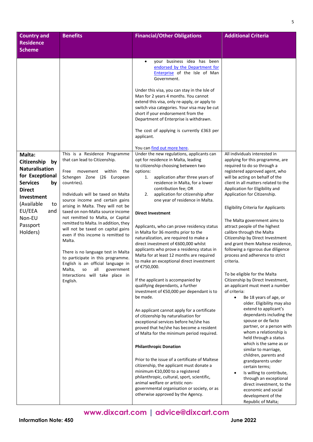| <b>Country and</b>                         | <b>Benefits</b>                                                            | <b>Financial/Other Obligations</b>                                                    | <b>Additional Criteria</b>                                              |
|--------------------------------------------|----------------------------------------------------------------------------|---------------------------------------------------------------------------------------|-------------------------------------------------------------------------|
| <b>Residence</b><br><b>Scheme</b>          |                                                                            |                                                                                       |                                                                         |
|                                            |                                                                            |                                                                                       |                                                                         |
|                                            |                                                                            | your business idea has been<br>$\bullet$<br>endorsed by the Department for            |                                                                         |
|                                            |                                                                            | Enterprise of the Isle of Man<br>Government.                                          |                                                                         |
|                                            |                                                                            | Under this visa, you can stay in the Isle of                                          |                                                                         |
|                                            |                                                                            | Man for 2 years 4 months. You cannot<br>extend this visa, only re-apply, or apply to  |                                                                         |
|                                            |                                                                            | switch visa categories. Your visa may be cut                                          |                                                                         |
|                                            |                                                                            | short if your endorsement from the<br>Department of Enterprise is withdrawn.          |                                                                         |
|                                            |                                                                            | The cost of applying is currently £363 per<br>applicant.                              |                                                                         |
|                                            |                                                                            | You can find out more here.                                                           |                                                                         |
| Malta:                                     | This is a Residence Programme<br>that can lead to Citizenship.             | Under the new regulations, applicants can<br>opt for residence in Malta, leading      | All individuals interested in<br>applying for this programme, are       |
| Citizenship<br>by<br><b>Naturalisation</b> |                                                                            | to citizenship choosing between two                                                   | required to do so through a                                             |
| for Exceptional                            | within<br>Free<br>movement<br>the<br>Schengen Zone (26 European            | options:<br>application after three years of<br>1.                                    | registered approved agent, who<br>will be acting on behalf of the       |
| <b>Services</b><br>by                      | countries).                                                                | residence in Malta, for a lower                                                       | client in all matters related to the                                    |
| <b>Direct</b>                              | Individuals will be taxed on Malta                                         | contribution fee; OR<br>application for citizenship after<br>2.                       | Application for Eligibility and<br>Application for Citizenship.         |
| <b>Investment</b><br>(Available<br>to      | source income and certain gains                                            | one year of residence in Malta.                                                       |                                                                         |
| EU/EEA<br>and                              | arising in Malta. They will not be<br>taxed on non-Malta source income     | <b>Direct Investment</b>                                                              | <b>Eligibility Criteria for Applicants</b>                              |
| Non-EU                                     | not remitted to Malta, or Capital                                          |                                                                                       | The Malta government aims to                                            |
| Passport                                   | remitted to Malta. In addition, they<br>will not be taxed on capital gains | Applicants, who can prove residency status                                            | attract people of the highest                                           |
| Holders)                                   | even if this income is remitted to<br>Malta.                               | in Malta for 36 months prior to the<br>naturalization, are required to make a         | calibre through the Malta<br>Citizenship by Direct Investment           |
|                                            |                                                                            | direct investment of €600,000 whilst<br>applicants who prove a residency status in    | and grant them Maltese residence,<br>following a rigorous due diligence |
|                                            | There is no language test in Malta<br>to participate in this programme.    | Malta for at least 12 months are required                                             | process and adherence to strict                                         |
|                                            | English is an official language in<br>Malta,<br>all<br>SO<br>government    | to make an exceptional direct investment<br>of €750,000.                              | criteria.                                                               |
|                                            | Interactions will take place in<br>English.                                | If the applicant is accompanied by                                                    | To be eligible for the Malta<br>Citizenship by Direct Investment,       |
|                                            |                                                                            | qualifying dependants, a further                                                      | an applicant must meet a number                                         |
|                                            |                                                                            | investment of €50,000 per dependant is to<br>be made.                                 | of criteria:<br>Be 18 years of age, or<br>$\bullet$                     |
|                                            |                                                                            |                                                                                       | older. Eligibility may also                                             |
|                                            |                                                                            | An applicant cannot apply for a certificate<br>of citizenship by naturalisation for   | extend to applicant's<br>dependants including the                       |
|                                            |                                                                            | exceptional services before he/she has                                                | spouse or de facto<br>partner, or a person with                         |
|                                            |                                                                            | proved that he/she has become a resident<br>of Malta for the minimum period required. | whom a relationship is                                                  |
|                                            |                                                                            |                                                                                       | held through a status<br>which is the same as or                        |
|                                            |                                                                            | <b>Philanthropic Donation</b>                                                         | similar to marriage,                                                    |
|                                            |                                                                            | Prior to the issue of a certificate of Maltese                                        | children, parents and<br>grandparents under                             |
|                                            |                                                                            | citizenship, the applicant must donate a<br>minimum €10,000 to a registered           | certain terms;                                                          |
|                                            |                                                                            | philanthropic, cultural, sport, scientific,                                           | Is willing to contribute,<br>$\bullet$<br>through an exceptional        |
|                                            |                                                                            | animal welfare or artistic non-<br>governmental organisation or society, or as        | direct investment, to the<br>economic and social                        |
|                                            |                                                                            | otherwise approved by the Agency.                                                     | development of the                                                      |
|                                            |                                                                            |                                                                                       | Republic of Malta;                                                      |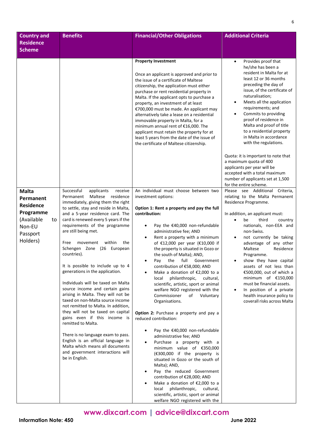| <b>Country and</b>                                                                                               | <b>Benefits</b>                                                                                                                                                                                                                                                                                                                                                                                                                                                                                                                                                                                                                                                                                                                                                                                                                                                                                              | <b>Financial/Other Obligations</b>                                                                                                                                                                                                                                                                                                                                                                                                                                                                                                                                                                                                                                                                                                                                                                                                                                                                                                                                                                                                                                                                                                                                                 | <b>Additional Criteria</b>                                                                                                                                                                                                                                                                                                                                                                                                                                                                                                                                                     |
|------------------------------------------------------------------------------------------------------------------|--------------------------------------------------------------------------------------------------------------------------------------------------------------------------------------------------------------------------------------------------------------------------------------------------------------------------------------------------------------------------------------------------------------------------------------------------------------------------------------------------------------------------------------------------------------------------------------------------------------------------------------------------------------------------------------------------------------------------------------------------------------------------------------------------------------------------------------------------------------------------------------------------------------|------------------------------------------------------------------------------------------------------------------------------------------------------------------------------------------------------------------------------------------------------------------------------------------------------------------------------------------------------------------------------------------------------------------------------------------------------------------------------------------------------------------------------------------------------------------------------------------------------------------------------------------------------------------------------------------------------------------------------------------------------------------------------------------------------------------------------------------------------------------------------------------------------------------------------------------------------------------------------------------------------------------------------------------------------------------------------------------------------------------------------------------------------------------------------------|--------------------------------------------------------------------------------------------------------------------------------------------------------------------------------------------------------------------------------------------------------------------------------------------------------------------------------------------------------------------------------------------------------------------------------------------------------------------------------------------------------------------------------------------------------------------------------|
| <b>Residence</b><br><b>Scheme</b>                                                                                |                                                                                                                                                                                                                                                                                                                                                                                                                                                                                                                                                                                                                                                                                                                                                                                                                                                                                                              |                                                                                                                                                                                                                                                                                                                                                                                                                                                                                                                                                                                                                                                                                                                                                                                                                                                                                                                                                                                                                                                                                                                                                                                    |                                                                                                                                                                                                                                                                                                                                                                                                                                                                                                                                                                                |
|                                                                                                                  |                                                                                                                                                                                                                                                                                                                                                                                                                                                                                                                                                                                                                                                                                                                                                                                                                                                                                                              | <b>Property Investment</b><br>Once an applicant is approved and prior to<br>the issue of a certificate of Maltese<br>citizenship, the application must either<br>purchase or rent residential property in<br>Malta. If the applicant opts to purchase a<br>property, an investment of at least<br>€700,000 must be made. An applicant may<br>alternatively take a lease on a residential<br>immovable property in Malta, for a<br>minimum annual rent of €16,000. The<br>applicant must retain the property for at<br>least 5 years from the date of the issue of<br>the certificate of Maltese citizenship.                                                                                                                                                                                                                                                                                                                                                                                                                                                                                                                                                                       | Provides proof that<br>$\bullet$<br>he/she has been a<br>resident in Malta for at<br>least 12 or 36 months<br>preceding the day of<br>issue, of the certificate of<br>naturalisation;<br>Meets all the application<br>$\bullet$<br>requirements; and<br>Commits to providing<br>$\bullet$<br>proof of residence in<br>Malta and proof of title<br>to a residential property<br>in Malta in accordance<br>with the regulations.                                                                                                                                                 |
|                                                                                                                  |                                                                                                                                                                                                                                                                                                                                                                                                                                                                                                                                                                                                                                                                                                                                                                                                                                                                                                              |                                                                                                                                                                                                                                                                                                                                                                                                                                                                                                                                                                                                                                                                                                                                                                                                                                                                                                                                                                                                                                                                                                                                                                                    | Quota: it is important to note that<br>a maximum quota of 400<br>applicants per year will be<br>accepted with a total maximum<br>number of applicants set at 1,500<br>for the entire scheme.                                                                                                                                                                                                                                                                                                                                                                                   |
| <b>Malta</b><br>Permanent<br><b>Residence</b><br>Programme<br>(Available<br>to<br>Non-EU<br>Passport<br>Holders) | Successful<br>applicants<br>receive<br>Permanent Maltese<br>residence<br>immediately, giving them the right<br>to settle, stay and reside in Malta,<br>and a 5-year residence card. The<br>card is renewed every 5 years if the<br>requirements of the programme<br>are still being met.<br>Free<br>movement<br>within<br>the<br>Schengen Zone (26 European<br>countries).<br>It is possible to include up to 4<br>generations in the application.<br>Individuals will be taxed on Malta<br>source income and certain gains<br>arising in Malta. They will not be<br>taxed on non-Malta source income<br>not remitted to Malta. In addition,<br>they will not be taxed on capital<br>gains even if this income is<br>remitted to Malta.<br>There is no language exam to pass.<br>English is an official language in<br>Malta which means all documents<br>and government interactions will<br>be in English. | An individual must choose between two<br>investment options:<br>Option 1: Rent a property and pay the full<br>contribution:<br>Pay the €40,000 non-refundable<br>$\bullet$<br>administrative fee; AND<br>Rent a property with a minimum<br>$\bullet$<br>of €12,000 per year (€10,000 if<br>the property is situated in Gozo or<br>the south of Malta); AND,<br>Pay the full Government<br>$\bullet$<br>contribution of €58,000; AND<br>Make a donation of $£2,000$ to a<br>$\bullet$<br>local<br>philanthropic,<br>cultural,<br>scientific, artistic, sport or animal<br>welfare NGO registered with the<br>Commissioner<br>of Voluntary<br>Organisations.<br>Option 2: Purchase a property and pay a<br>reduced contribution:<br>Pay the €40,000 non-refundable<br>٠<br>administrative fee; AND<br>Purchase a property with a<br>minimum value of €350,000<br>(€300,000 if the property is<br>situated in Gozo or the south of<br>Malta); AND,<br>Pay the reduced Government<br>$\bullet$<br>contribution of €28,000; AND<br>Make a donation of $£2,000$ to a<br>local<br>philanthropic,<br>cultural,<br>scientific, artistic, sport or animal<br>welfare NGO registered with the | Please see Additional Criteria,<br>relating to the Malta Permanent<br>Residence Programme.<br>In addition, an applicant must:<br>third<br>be<br>$\bullet$<br>country<br>nationals, non-EEA and<br>non-Swiss.<br>not currently be taking<br>$\bullet$<br>advantage of any other<br>Maltese<br>Residence<br>Programme.<br>show they have capital<br>$\bullet$<br>assets of not less than<br>€500,000, out of which a<br>minimum of $£150,000$<br>must be financial assets.<br>In position of a private<br>$\bullet$<br>health insurance policy to<br>coverall risks across Malta |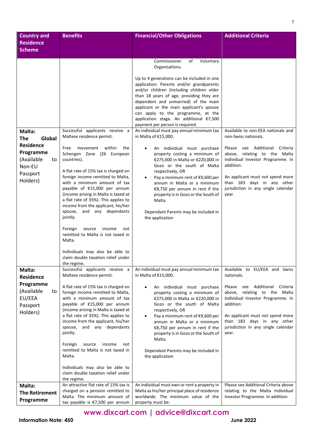| <b>Country and</b>                                                                                                    | <b>Benefits</b>                                                                                                                                                                                                                                                                                                                                                                                                                                                                                                                        | <b>Financial/Other Obligations</b>                                                                                                                                                                                                                                                                                                                                                                                                                                                                                                                                                                                                                                                                                                                                                                                                                                                                     | <b>Additional Criteria</b>                                                                                                                                                                                                                                                                                |
|-----------------------------------------------------------------------------------------------------------------------|----------------------------------------------------------------------------------------------------------------------------------------------------------------------------------------------------------------------------------------------------------------------------------------------------------------------------------------------------------------------------------------------------------------------------------------------------------------------------------------------------------------------------------------|--------------------------------------------------------------------------------------------------------------------------------------------------------------------------------------------------------------------------------------------------------------------------------------------------------------------------------------------------------------------------------------------------------------------------------------------------------------------------------------------------------------------------------------------------------------------------------------------------------------------------------------------------------------------------------------------------------------------------------------------------------------------------------------------------------------------------------------------------------------------------------------------------------|-----------------------------------------------------------------------------------------------------------------------------------------------------------------------------------------------------------------------------------------------------------------------------------------------------------|
| <b>Residence</b><br><b>Scheme</b>                                                                                     |                                                                                                                                                                                                                                                                                                                                                                                                                                                                                                                                        |                                                                                                                                                                                                                                                                                                                                                                                                                                                                                                                                                                                                                                                                                                                                                                                                                                                                                                        |                                                                                                                                                                                                                                                                                                           |
|                                                                                                                       |                                                                                                                                                                                                                                                                                                                                                                                                                                                                                                                                        |                                                                                                                                                                                                                                                                                                                                                                                                                                                                                                                                                                                                                                                                                                                                                                                                                                                                                                        |                                                                                                                                                                                                                                                                                                           |
| Malta:<br>Global<br><b>The</b><br><b>Residence</b><br>Programme<br>(Available<br>to<br>Non-EU<br>Passport<br>Holders) | Successful applicants receive a<br>Maltese residence permit.<br>movement<br>within<br>Free<br>the<br>Schengen Zone (26 European<br>countries).<br>A flat rate of 15% tax is charged on<br>foreign income remitted to Malta,<br>with a minimum amount of tax<br>payable of €15,000 per annum<br>(income arising in Malta is taxed at<br>a flat rate of 35%). This applies to<br>income from the applicant, his/her<br>spouse, and any dependants<br>jointly.<br>Foreign<br>source<br>income<br>not<br>remitted to Malta is not taxed in | Commissioner<br>Voluntary<br>οf<br>Organisations.<br>Up to 4 generations can be included in one<br>application: Parents and/or grandparents<br>and/or children (including children older<br>than 18 years of age, providing they are<br>dependent and unmarried) of the main<br>applicant or the main applicant's spouse<br>can apply to the programme, at the<br>application stage. An additional €7,500<br>payment per person is required.<br>An individual must pay annual minimum tax<br>in Malta of €15,000.<br>An individual must purchase<br>property costing a minimum of<br>€275,000 in Malta or €220,000 in<br>Gozo or the south of Malta<br>respectively, OR<br>Pay a minimum rent of €9,600 per<br>$\bullet$<br>annum in Malta or a minimum<br>€8,750 per annum in rent if the<br>property is in Gozo or the South of<br>Malta.<br>Dependant Parents may be included in<br>the application | Available to non-EEA nationals and<br>non-Swiss nationals.<br>see Additional<br>Please<br>Criteria<br>relating to the Malta<br>above,<br>Individual Investor Programme. In<br>addition:<br>An applicant must not spend more<br>than 183 days in any other<br>jurisdiction in any single calendar<br>year. |
|                                                                                                                       | Malta.<br>Individuals may also be able to<br>claim double taxation relief under                                                                                                                                                                                                                                                                                                                                                                                                                                                        |                                                                                                                                                                                                                                                                                                                                                                                                                                                                                                                                                                                                                                                                                                                                                                                                                                                                                                        |                                                                                                                                                                                                                                                                                                           |
| Malta:<br><b>Residence</b>                                                                                            | the regime.<br>Successful applicants receive a<br>Maltese residence permit.                                                                                                                                                                                                                                                                                                                                                                                                                                                            | An individual must pay annual minimum tax<br>in Malta of €15,000.                                                                                                                                                                                                                                                                                                                                                                                                                                                                                                                                                                                                                                                                                                                                                                                                                                      | Available to EU/EEA and Swiss<br>nationals.                                                                                                                                                                                                                                                               |
| Programme<br>(Available<br>to<br>EU/EEA<br>Passport<br>Holders)                                                       | A flat rate of 15% tax is charged on<br>foreign income remitted to Malta,<br>with a minimum amount of tax<br>payable of €15,000 per annum<br>(income arising in Malta is taxed at<br>a flat rate of 35%). This applies to<br>income from the applicant, his/her<br>and any dependants<br>spouse,<br>jointly.<br>Foreign<br>source<br>income<br>not<br>remitted to Malta is not taxed in<br>Malta.<br>Individuals may also be able to                                                                                                   | An individual must purchase<br>property costing a minimum of<br>€275,000 in Malta or €220,000 in<br>Gozo or the south of Malta<br>respectively, OR<br>Pay a minimum rent of €9,600 per<br>$\bullet$<br>annum in Malta or a minimum<br>€8,750 per annum in rent if the<br>property is in Gozo or the South of<br>Malta.<br>Dependant Parents may be included in<br>the application                                                                                                                                                                                                                                                                                                                                                                                                                                                                                                                      | Please see Additional Criteria<br>relating to the Malta<br>above,<br>Individual Investor Programme. In<br>addition:<br>An applicant must not spend more<br>than 183 days in any other<br>jurisdiction in any single calendar<br>year.                                                                     |
|                                                                                                                       | claim double taxation relief under<br>the regime.                                                                                                                                                                                                                                                                                                                                                                                                                                                                                      |                                                                                                                                                                                                                                                                                                                                                                                                                                                                                                                                                                                                                                                                                                                                                                                                                                                                                                        |                                                                                                                                                                                                                                                                                                           |
| Malta:<br><b>The Retirement</b><br>Programme                                                                          | An attractive flat rate of 15% tax is<br>charged on a pension remitted to<br>Malta. The minimum amount of<br>tax payable is €7,500 per annum                                                                                                                                                                                                                                                                                                                                                                                           | An individual must own or rent a property in<br>Malta as his/her principal place of residence<br>worldwide. The minimum value of the<br>property must be:                                                                                                                                                                                                                                                                                                                                                                                                                                                                                                                                                                                                                                                                                                                                              | Please see Additional Criteria above<br>relating to the Malta Individual<br>Investor Programme. In addition:                                                                                                                                                                                              |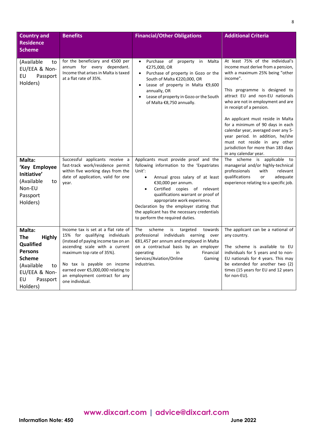| <b>Country and</b><br><b>Residence</b><br><b>Scheme</b>                                                                                                  | <b>Benefits</b>                                                                                                                                                                                                                                                                                       | <b>Financial/Other Obligations</b>                                                                                                                                                                                                                                                                                                                                                                                  | <b>Additional Criteria</b>                                                                                                                                                                                                                                                                                                                                                                                                                                                                                     |
|----------------------------------------------------------------------------------------------------------------------------------------------------------|-------------------------------------------------------------------------------------------------------------------------------------------------------------------------------------------------------------------------------------------------------------------------------------------------------|---------------------------------------------------------------------------------------------------------------------------------------------------------------------------------------------------------------------------------------------------------------------------------------------------------------------------------------------------------------------------------------------------------------------|----------------------------------------------------------------------------------------------------------------------------------------------------------------------------------------------------------------------------------------------------------------------------------------------------------------------------------------------------------------------------------------------------------------------------------------------------------------------------------------------------------------|
| (Available<br>to<br>EU/EEA & Non-<br>EU<br>Passport<br>Holders)                                                                                          | for the beneficiary and €500 per<br>annum for every dependant.<br>Income that arises in Malta is taxed<br>at a flat rate of 35%.                                                                                                                                                                      | Purchase of property in<br>Malta<br>$\bullet$<br>€275,000, OR<br>Purchase of property in Gozo or the<br>$\bullet$<br>South of Malta €220,000, OR<br>Lease of property in Malta €9,600<br>$\bullet$<br>annually, OR<br>Lease of property in Gozo or the South<br>of Malta €8,750 annually.                                                                                                                           | At least 75% of the individual's<br>income must derive from a pension,<br>with a maximum 25% being "other<br>income".<br>This programme is designed to<br>attract EU and non-EU nationals<br>who are not in employment and are<br>in receipt of a pension.<br>An applicant must reside in Malta<br>for a minimum of 90 days in each<br>calendar year, averaged over any 5-<br>year period. In addition, he/she<br>must not reside in any other<br>jurisdiction for more than 183 days<br>in any calendar year. |
| Malta:<br>'Key Employee<br>Initiative'<br>(Available<br>to<br>Non-EU<br>Passport<br>Holders)                                                             | Successful applicants receive a<br>fast-track work/residence permit<br>within five working days from the<br>date of application, valid for one<br>year.                                                                                                                                               | Applicants must provide proof and the<br>following information to the 'Expatriates<br>Unit':<br>Annual gross salary of at least<br>$\bullet$<br>€30,000 per annum.<br>Certified copies of relevant<br>$\bullet$<br>qualifications warrant or proof of<br>appropriate work experience.<br>Declaration by the employer stating that<br>the applicant has the necessary credentials<br>to perform the required duties. | The scheme is applicable to<br>managerial and/or highly-technical<br>professionals<br>with<br>relevant<br>qualifications<br>adequate<br>or<br>experience relating to a specific job.                                                                                                                                                                                                                                                                                                                           |
| Malta:<br><b>The</b><br><b>Highly</b><br>Qualified<br><b>Persons</b><br><b>Scheme</b><br>(Available<br>to<br>EU/EEA & Non-<br>EU<br>Passport<br>Holders) | Income tax is set at a flat rate of<br>15% for qualifying individuals<br>(instead of paying income tax on an<br>ascending scale with a current<br>maximum top rate of 35%).<br>No tax is payable on income<br>earned over €5,000,000 relating to<br>an employment contract for any<br>one individual. | The<br>scheme<br>is<br>targeted<br>towards<br>professional individuals<br>earning<br>over<br>€81,457 per annum and employed in Malta<br>on a contractual basis by an employer<br>Financial<br>operating<br>in<br>Services/Aviation/Online<br>Gaming<br>industries.                                                                                                                                                  | The applicant can be a national of<br>any country.<br>The scheme is available to EU<br>individuals for 5 years and to non-<br>EU nationals for 4 years. This may<br>be extended for another two (2)<br>times (15 years for EU and 12 years<br>for non-EU).                                                                                                                                                                                                                                                     |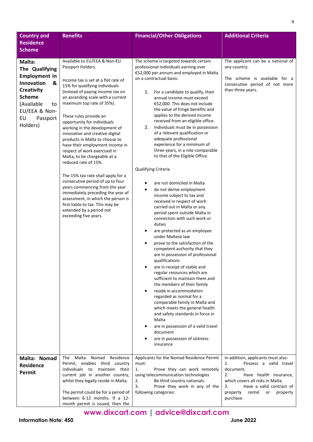| <b>Country and</b><br><b>Residence</b><br><b>Scheme</b>                                                                                                                      | <b>Benefits</b>                                                                                                                                                                                                                                                                                                                                                                                                                                                                                                                                                                                                                                                                                                                                                                                            | <b>Financial/Other Obligations</b>                                                                                                                                                                                                                                                                                                                                                                                                                                                                                                                                                                                                                                                                                                                                                                                                                                                                                                                                                                                                                                                                                                                                                                                                                                                                                                                                                                                                                                                             | <b>Additional Criteria</b>                                                                                                                                                                                                                 |
|------------------------------------------------------------------------------------------------------------------------------------------------------------------------------|------------------------------------------------------------------------------------------------------------------------------------------------------------------------------------------------------------------------------------------------------------------------------------------------------------------------------------------------------------------------------------------------------------------------------------------------------------------------------------------------------------------------------------------------------------------------------------------------------------------------------------------------------------------------------------------------------------------------------------------------------------------------------------------------------------|------------------------------------------------------------------------------------------------------------------------------------------------------------------------------------------------------------------------------------------------------------------------------------------------------------------------------------------------------------------------------------------------------------------------------------------------------------------------------------------------------------------------------------------------------------------------------------------------------------------------------------------------------------------------------------------------------------------------------------------------------------------------------------------------------------------------------------------------------------------------------------------------------------------------------------------------------------------------------------------------------------------------------------------------------------------------------------------------------------------------------------------------------------------------------------------------------------------------------------------------------------------------------------------------------------------------------------------------------------------------------------------------------------------------------------------------------------------------------------------------|--------------------------------------------------------------------------------------------------------------------------------------------------------------------------------------------------------------------------------------------|
| Malta:<br>The Qualifying<br><b>Employment in</b><br>Innovation<br>&<br><b>Creativity</b><br><b>Scheme</b><br>(Available<br>to<br>EU/EEA & Non-<br>EU<br>Passport<br>Holders) | Available to EU/EEA & Non-EU<br>Passport Holders.<br>Income tax is set at a flat rate of<br>15% for qualifying individuals<br>(instead of paying income tax on<br>an ascending scale with a current<br>maximum top rate of 35%).<br>These rules provide an<br>opportunity for individuals<br>working in the development of<br>innovative and creative digital<br>products in Malta to choose to<br>have their employment income in<br>respect of work exercised in<br>Malta, to be chargeable at a<br>reduced rate of 15%.<br>The 15% tax rate shall apply for a<br>consecutive period of up to four<br>years commencing from the year<br>immediately preceding the year of<br>assessment, in which the person is<br>first liable to tax. This may be<br>extended by a period not<br>exceeding five years. | The scheme is targeted towards certain<br>professional individuals earning over<br>€52,000 per annum and employed in Malta<br>on a contractual basis:<br>For a candidate to qualify, their<br>1.<br>annual income must exceed<br>€52,000. This does not include<br>the value of fringe benefits and<br>applies to the derived income<br>received from an eligible office.<br>2.<br>Individuals must be in possession<br>of a relevant qualification or<br>adequate professional<br>experience for a minimum of<br>three years, in a role comparable<br>to that of the Eligible Office.<br>Qualifying Criteria<br>are not domiciled in Malta<br>٠<br>do not derive employment<br>$\bullet$<br>income subject to tax and<br>received in respect of work<br>carried out in Malta or any<br>period spent outside Malta in<br>connection with such work or<br>duties<br>are protected as an employee<br>٠<br>under Maltese law<br>prove to the satisfaction of the<br>$\bullet$<br>competent authority that they<br>are in possession of professional<br>qualifications<br>are in receipt of stable and<br>regular resources which are<br>sufficient to maintain them and<br>the members of their family<br>reside in accommodation<br>$\bullet$<br>regarded as normal for a<br>comparable family in Malta and<br>which meets the general health<br>and safety standards in force in<br>Malta<br>are in possession of a valid travel<br>٠<br>document<br>are in possession of sickness<br>insurance | The applicant can be a national of<br>any country.<br>The scheme is available for a<br>consecutive period of not more<br>than three years.                                                                                                 |
| Malta: Nomad<br><b>Residence</b><br>Permit                                                                                                                                   | The Malta Nomad Residence<br>Permit, enables third country<br>individuals to<br>maintain their<br>current job in another country,<br>whilst they legally reside in Malta.<br>The permit could be for a period of<br>between 6-12 months. If a 12-<br>month permit is issued, then the                                                                                                                                                                                                                                                                                                                                                                                                                                                                                                                      | Applicants for the Nomad Residence Permit<br>must:<br>Prove they can work remotely<br>1.<br>using telecommunication technologies<br>Be third country nationals.<br>2.<br>3.<br>Prove they work in any of the<br>following categories:                                                                                                                                                                                                                                                                                                                                                                                                                                                                                                                                                                                                                                                                                                                                                                                                                                                                                                                                                                                                                                                                                                                                                                                                                                                          | In addition, applicants must also:<br>Possess a valid travel<br>1.<br>document.<br>2.<br>Have health insurance,<br>which covers all risks in Malta.<br>3.<br>Have a valid contract of<br>property<br>rental<br>or<br>property<br>purchase. |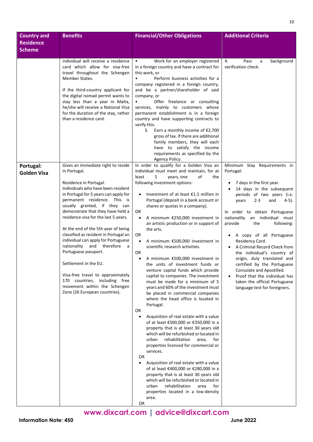| <b>Country and</b> | <b>Benefits</b>                                                             | <b>Financial/Other Obligations</b>                                                            | <b>Additional Criteria</b>                                        |
|--------------------|-----------------------------------------------------------------------------|-----------------------------------------------------------------------------------------------|-------------------------------------------------------------------|
| <b>Residence</b>   |                                                                             |                                                                                               |                                                                   |
| <b>Scheme</b>      |                                                                             |                                                                                               |                                                                   |
|                    | individual will receive a residence                                         | Work for an employer registered<br>$\bullet$                                                  | 4.<br>Pass<br>background<br>a                                     |
|                    | card which allow for visa-free                                              | in a foreign country and have a contract for                                                  | verification check.                                               |
|                    | travel throughout the Schengen                                              | this work, or                                                                                 |                                                                   |
|                    | Member States.                                                              | Perform business activities for a                                                             |                                                                   |
|                    | If the third-country applicant for                                          | company registered in a foreign country,<br>and be a partner/shareholder of said              |                                                                   |
|                    | the digital nomad permit wants to                                           | company, or                                                                                   |                                                                   |
|                    | stay less than a year in Malta,                                             | Offer freelance or consulting<br>$\bullet$                                                    |                                                                   |
|                    | he/she will receive a National Visa<br>for the duration of the stay, rather | services, mainly to customers whose<br>permanent establishment is in a foreign                |                                                                   |
|                    | than a residence card.                                                      | country and have supporting contracts to                                                      |                                                                   |
|                    |                                                                             | verify this.<br>3.<br>Earn a monthly income of $E$ 2,700                                      |                                                                   |
|                    |                                                                             | gross of tax. If there are additional                                                         |                                                                   |
|                    |                                                                             | family members, they will each                                                                |                                                                   |
|                    |                                                                             | have to satisfy the income<br>requirements as specified by the                                |                                                                   |
|                    |                                                                             | Agency Policy.                                                                                |                                                                   |
| Portugal:          | Gives an immediate right to reside<br>in Portugal.                          | In order to qualify for a Golden Visa an<br>individual must meet and maintain, for at         | Minimum Stay Requirements in<br>Portugal:                         |
| <b>Golden Visa</b> |                                                                             | least<br>5<br>of<br>years, one<br>the                                                         |                                                                   |
|                    | Residence in Portugal.                                                      | following investment options:                                                                 | 7 days in the first year.                                         |
|                    | Individuals who have been resident                                          |                                                                                               | 14 days in the subsequent                                         |
|                    | in Portugal for 5 years can apply for<br>permanent residence. This is       | Investment of at least $£1.5$ million in<br>Portugal (deposit in a bank account or            | periods of two years (i.e.<br>$2 - 3$<br>years<br>and<br>4-5).    |
|                    | usually granted, if they can                                                | shares or quotas in a company).                                                               |                                                                   |
|                    | demonstrate that they have held a                                           | OR                                                                                            | In order to obtain Portuguese                                     |
|                    | residence visa for the last 5 years.                                        | A minimum €250,000 investment in<br>an artistic production or in support of                   | nationality<br>an individual must<br>provide<br>following:<br>the |
|                    | At the end of the 5th year of being                                         | the arts.                                                                                     |                                                                   |
|                    | classified as resident in Portugal an                                       | 0R                                                                                            | A copy of all Portuguese                                          |
|                    | individual can apply for Portuguese<br>nationality and therefore<br>a       | A minimum €500,000 investment in<br>$\bullet$<br>scientific research activities.              | Residency Card.<br>A Criminal Record Check from                   |
|                    | Portuguese passport.                                                        | 0R                                                                                            | the individual's country of                                       |
|                    | Settlement in the EU.                                                       | A minimum €500,000 investment in                                                              | origin, duly translated and                                       |
|                    |                                                                             | the units of investment funds or<br>venture capital funds which provide                       | certified by the Portuguese<br>Consulate and Apostilled.          |
|                    | Visa-free travel to approximately                                           | capital to companies. The investment                                                          | Proof that the individual has                                     |
|                    | 170 countries, including free                                               | must be made for a minimum of 5                                                               | taken the official Portuguese                                     |
|                    | movement within the Schengen<br>Zone (26 European countries).               | years and 60% of the investment must<br>be placed in commercial companies                     | language test for foreigners.                                     |
|                    |                                                                             | where the head office is located in                                                           |                                                                   |
|                    |                                                                             | Portugal.                                                                                     |                                                                   |
|                    |                                                                             | 0R                                                                                            |                                                                   |
|                    |                                                                             | Acquisition of real estate with a value<br>$\bullet$<br>of at least €500,000 or €350,000 in a |                                                                   |
|                    |                                                                             | property that is at least 30 years old                                                        |                                                                   |
|                    |                                                                             | which will be refurbished or located in                                                       |                                                                   |
|                    |                                                                             | rehabilitation<br>area,<br>for<br>urban<br>properties licenced for commercial or              |                                                                   |
|                    |                                                                             | services.                                                                                     |                                                                   |
|                    |                                                                             | OR                                                                                            |                                                                   |
|                    |                                                                             | Acquisition of real estate with a value<br>of at least €400,000 or €280,000 in a              |                                                                   |
|                    |                                                                             | property that is at least 30 years old                                                        |                                                                   |
|                    |                                                                             | which will be refurbished or located in                                                       |                                                                   |
|                    |                                                                             | rehabilitation<br>for<br>urban<br>area                                                        |                                                                   |
|                    |                                                                             | properties located in a low-density<br>area.                                                  |                                                                   |
|                    |                                                                             | OR                                                                                            |                                                                   |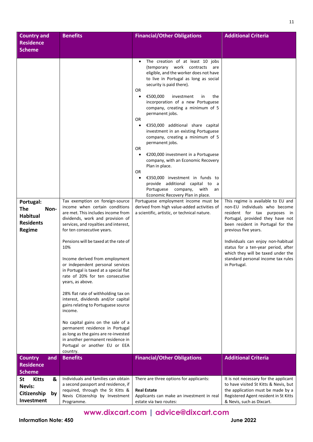| <b>Country and</b><br><b>Residence</b><br><b>Scheme</b>                                             | <b>Benefits</b>                                                                                                                                                                                                                                                                                                                                                                                                                                                                                                                                                                                                                                                                                                                                                            | <b>Financial/Other Obligations</b>                                                                                                                                                                                                                                                                                                                                                                                                                                                                                                                                                                                                                                                                                                                                                                                                                                                                          | <b>Additional Criteria</b>                                                                                                                                                                                                                                                                                                                                                    |
|-----------------------------------------------------------------------------------------------------|----------------------------------------------------------------------------------------------------------------------------------------------------------------------------------------------------------------------------------------------------------------------------------------------------------------------------------------------------------------------------------------------------------------------------------------------------------------------------------------------------------------------------------------------------------------------------------------------------------------------------------------------------------------------------------------------------------------------------------------------------------------------------|-------------------------------------------------------------------------------------------------------------------------------------------------------------------------------------------------------------------------------------------------------------------------------------------------------------------------------------------------------------------------------------------------------------------------------------------------------------------------------------------------------------------------------------------------------------------------------------------------------------------------------------------------------------------------------------------------------------------------------------------------------------------------------------------------------------------------------------------------------------------------------------------------------------|-------------------------------------------------------------------------------------------------------------------------------------------------------------------------------------------------------------------------------------------------------------------------------------------------------------------------------------------------------------------------------|
| Portugal:<br><b>The</b><br>Non-<br><b>Habitual</b><br><b>Residents</b><br>Regime                    | Tax exemption on foreign-source<br>income when certain conditions<br>are met. This includes income from<br>dividends, work and provision of<br>services, and royalties and interest,<br>for ten consecutive years.<br>Pensions will be taxed at the rate of<br>10%<br>Income derived from employment<br>or independent personal services<br>in Portugal is taxed at a special flat<br>rate of 20% for ten consecutive<br>years, as above.<br>28% flat rate of withholding tax on<br>interest, dividends and/or capital<br>gains relating to Portuguese source<br>income.<br>No capital gains on the sale of a<br>permanent residence in Portugal<br>as long as the gains are re-invested<br>in another permanent residence in<br>Portugal or another EU or EEA<br>country. | The creation of at least 10 jobs<br>(temporary work contracts<br>are<br>eligible, and the worker does not have<br>to live in Portugal as long as social<br>security is paid there).<br>OR<br>€500,000<br>investment<br>the<br>$\bullet$<br>in<br>incorporation of a new Portuguese<br>company, creating a minimum of 5<br>permanent jobs.<br>OR<br>€350,000 additional share capital<br>$\bullet$<br>investment in an existing Portuguese<br>company, creating a minimum of 5<br>permanent jobs.<br>0R<br>€200,000 investment in a Portuguese<br>$\bullet$<br>company, with an Economic Recovery<br>Plan in place.<br>0R<br>€350,000 investment in funds to<br>provide additional capital to a<br>Portuguese company, with<br>an<br>Economic Recovery Plan in place.<br>Portuguese employment income must be<br>derived from high value-added activities of<br>a scientific, artistic, or technical nature. | This regime is available to EU and<br>non-EU individuals who become<br>resident for tax purposes in<br>Portugal, provided they have not<br>been resident in Portugal for the<br>previous five years.<br>Individuals can enjoy non-habitual<br>status for a ten-year period, after<br>which they will be taxed under the<br>standard personal income tax rules<br>in Portugal. |
| <b>Country</b><br>and<br><b>Residence</b>                                                           | <b>Benefits</b>                                                                                                                                                                                                                                                                                                                                                                                                                                                                                                                                                                                                                                                                                                                                                            | <b>Financial/Other Obligations</b>                                                                                                                                                                                                                                                                                                                                                                                                                                                                                                                                                                                                                                                                                                                                                                                                                                                                          | <b>Additional Criteria</b>                                                                                                                                                                                                                                                                                                                                                    |
| <b>Scheme</b><br><b>St</b><br><b>Kitts</b><br>&<br><b>Nevis:</b><br>Citizenship<br>by<br>Investment | Individuals and families can obtain<br>a second passport and residence, if<br>required, through the St Kitts &<br>Nevis Citizenship by Investment<br>Programme.                                                                                                                                                                                                                                                                                                                                                                                                                                                                                                                                                                                                            | There are three options for applicants:<br><b>Real Estate</b><br>Applicants can make an investment in real<br>estate via two routes:                                                                                                                                                                                                                                                                                                                                                                                                                                                                                                                                                                                                                                                                                                                                                                        | It is not necessary for the applicant<br>to have visited St Kitts & Nevis, but<br>the application must be made by a<br>Registered Agent resident in St Kitts<br>& Nevis, such as Dixcart.                                                                                                                                                                                     |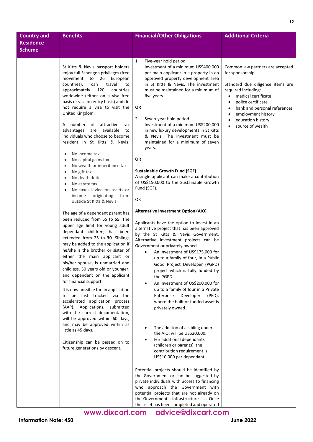| <b>Country and</b>                | <b>Benefits</b>                                                                                                                                                                                                                                                                                                                                                                                                                                                                                                                                                                                                                                                                                                                                                                                                                                                                                                                                                                                                                                                                                                                                                                                                                                                                                                                                                                                                                                                                        | <b>Financial/Other Obligations</b>                                                                                                                                                                                                                                                                                                                                                                                                                                                                                                                                                                                                                                                                                                                                                                                                                                                                                                                                                                                                                                                                                                                                                                                                                                                                                                                                                                                                                                                                                                                                                                                                                        | <b>Additional Criteria</b>                                                                                                                                                                                                                                                                                                                |
|-----------------------------------|----------------------------------------------------------------------------------------------------------------------------------------------------------------------------------------------------------------------------------------------------------------------------------------------------------------------------------------------------------------------------------------------------------------------------------------------------------------------------------------------------------------------------------------------------------------------------------------------------------------------------------------------------------------------------------------------------------------------------------------------------------------------------------------------------------------------------------------------------------------------------------------------------------------------------------------------------------------------------------------------------------------------------------------------------------------------------------------------------------------------------------------------------------------------------------------------------------------------------------------------------------------------------------------------------------------------------------------------------------------------------------------------------------------------------------------------------------------------------------------|-----------------------------------------------------------------------------------------------------------------------------------------------------------------------------------------------------------------------------------------------------------------------------------------------------------------------------------------------------------------------------------------------------------------------------------------------------------------------------------------------------------------------------------------------------------------------------------------------------------------------------------------------------------------------------------------------------------------------------------------------------------------------------------------------------------------------------------------------------------------------------------------------------------------------------------------------------------------------------------------------------------------------------------------------------------------------------------------------------------------------------------------------------------------------------------------------------------------------------------------------------------------------------------------------------------------------------------------------------------------------------------------------------------------------------------------------------------------------------------------------------------------------------------------------------------------------------------------------------------------------------------------------------------|-------------------------------------------------------------------------------------------------------------------------------------------------------------------------------------------------------------------------------------------------------------------------------------------------------------------------------------------|
| <b>Residence</b><br><b>Scheme</b> |                                                                                                                                                                                                                                                                                                                                                                                                                                                                                                                                                                                                                                                                                                                                                                                                                                                                                                                                                                                                                                                                                                                                                                                                                                                                                                                                                                                                                                                                                        |                                                                                                                                                                                                                                                                                                                                                                                                                                                                                                                                                                                                                                                                                                                                                                                                                                                                                                                                                                                                                                                                                                                                                                                                                                                                                                                                                                                                                                                                                                                                                                                                                                                           |                                                                                                                                                                                                                                                                                                                                           |
|                                   | St Kitts & Nevis passport holders<br>enjoy full Schengen privileges (free<br>movement to 26<br>European<br>countries),<br>can<br>travel<br>to<br>approximately<br>120<br>countries<br>worldwide (either on a visa free<br>basis or visa on entry basis) and do<br>not require a visa to visit the<br>United Kingdom.<br>number of attractive<br>tax<br>A<br>advantages are available<br>to<br>individuals who choose to become<br>resident in St Kitts & Nevis:<br>No income tax<br>$\bullet$<br>No capital gains tax<br>No wealth or inheritance tax<br>No gift tax<br>No death duties<br>No estate tax<br>No taxes levied on assets or<br>originating<br>income<br>from<br>outside St Kitts & Nevis<br>The age of a dependant parent has<br>been reduced from 65 to 55. The<br>upper age limit for young adult<br>dependant children, has been<br>extended from 25 to 30. Siblings<br>may be added to the application if<br>he/she is the brother or sister of<br>either the main applicant or<br>his/her spouse, is unmarried and<br>childless, 30 years old or younger,<br>and dependent on the applicant<br>for financial support.<br>It is now possible for an application<br>to be fast tracked via the<br>accelerated application process<br>(AAP). Applications, submitted<br>with the correct documentation,<br>will be approved within 60 days,<br>and may be approved within as<br>little as 45 days.<br>Citizenship can be passed on to<br>future generations by descent. | 1.<br>Five-year hold period<br>Investment of a minimum US\$400,000<br>per main applicant in a property in an<br>approved property development area<br>in St Kitts & Nevis. The investment<br>must be maintained for a minimum of<br>five years.<br>OR<br>2.<br>Seven-year hold period<br>Investment of a minimum US\$200,000<br>in new luxury developments in St Kitts<br>& Nevis. The investment must be<br>maintained for a minimum of seven<br>years.<br>OR<br><b>Sustainable Growth Fund (SGF)</b><br>A single applicant can make a contribution<br>of US\$150,000 to the Sustainable Growth<br>Fund (SGF).<br>OR<br><b>Alternative Investment Option (AIO)</b><br>Applicants have the option to invest in an<br>alternative project that has been approved<br>by the St Kitts & Nevis Government.<br>Alternative Investment projects can be<br>Government or privately owned.<br>An investment of US\$175,000 for<br>$\bullet$<br>up to a family of four, in a Public<br>Good Project Developer (PGPD)<br>project which is fully funded by<br>the PGPD.<br>An investment of US\$200,000 for<br>up to a family of four in a Private<br>Developer<br>(PED),<br>Enterprise<br>where the built or funded asset is<br>privately owned.<br>The addition of a sibling under<br>the AIO, will be US\$20,000.<br>For additional dependants<br>(children or parents), the<br>contribution requirement is<br>US\$10,000 per dependant.<br>Potential projects should be identified by<br>the Government or can be suggested by<br>private individuals with access to financing<br>who approach the Government with<br>potential projects that are not already on | Common law partners are accepted<br>for sponsorship.<br>Standard due diligence items are<br>required including:<br>medical certificate<br>$\bullet$<br>police certificate<br>$\bullet$<br>bank and personal references<br>$\bullet$<br>employment history<br>$\bullet$<br>education history<br>$\bullet$<br>source of wealth<br>$\bullet$ |
|                                   |                                                                                                                                                                                                                                                                                                                                                                                                                                                                                                                                                                                                                                                                                                                                                                                                                                                                                                                                                                                                                                                                                                                                                                                                                                                                                                                                                                                                                                                                                        | the Government's infrastructure list. Once<br>the asset has been completed and operated                                                                                                                                                                                                                                                                                                                                                                                                                                                                                                                                                                                                                                                                                                                                                                                                                                                                                                                                                                                                                                                                                                                                                                                                                                                                                                                                                                                                                                                                                                                                                                   |                                                                                                                                                                                                                                                                                                                                           |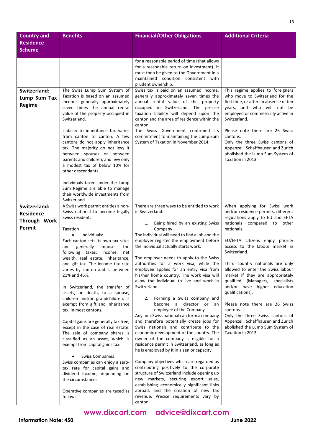| <b>Country and</b>           | <b>Benefits</b>                                                             | <b>Financial/Other Obligations</b>                                                        | <b>Additional Criteria</b>                                             |
|------------------------------|-----------------------------------------------------------------------------|-------------------------------------------------------------------------------------------|------------------------------------------------------------------------|
| <b>Residence</b>             |                                                                             |                                                                                           |                                                                        |
| <b>Scheme</b>                |                                                                             |                                                                                           |                                                                        |
|                              |                                                                             | for a reasonable period of time (that allows                                              |                                                                        |
|                              |                                                                             | for a reasonable return on investment). It<br>must then be given to the Government in a   |                                                                        |
|                              |                                                                             | maintained condition consistent with                                                      |                                                                        |
|                              |                                                                             | prudent ownership.                                                                        |                                                                        |
| Switzerland:<br>Lump Sum Tax | The Swiss Lump Sum System of<br>Taxation is based on an assumed             | Swiss tax is paid on an assumed income,<br>generally approximately seven times the        | This regime applies to foreigners<br>who move to Switzerland for the   |
| <b>Regime</b>                | income, generally approximately                                             | annual rental value of the property                                                       | first time, or after an absence of ten                                 |
|                              | seven times the annual rental<br>value of the property occupied in          | occupied in Switzerland. The precise<br>taxation liability will depend upon the           | years, and who will not be<br>employed or commercially active in       |
|                              | Switzerland.                                                                | canton and the area of residence within the                                               | Switzerland.                                                           |
|                              | Liability to inheritance tax varies                                         | canton.<br>The Swiss Government confirmed its                                             | Please note there are 26 Swiss                                         |
|                              | from canton to canton. A few                                                | commitment to maintaining the Lump Sum                                                    | cantons.                                                               |
|                              | cantons do not apply inheritance<br>tax. The majority do not levy it        | System of Taxation in November 2014.                                                      | Only the three Swiss cantons of<br>Appenzell, Schaffhausen and Zurich  |
|                              | between spouses or between                                                  |                                                                                           | abolished the Lump Sum System of                                       |
|                              | parents and children, and levy only<br>a modest tax of below 10% for        |                                                                                           | Taxation in 2013.                                                      |
|                              | other descendants.                                                          |                                                                                           |                                                                        |
|                              | Individuals taxed under the Lump                                            |                                                                                           |                                                                        |
|                              | Sum Regime are able to manage                                               |                                                                                           |                                                                        |
|                              | their worldwide investments from<br>Switzerland.                            |                                                                                           |                                                                        |
| Switzerland:                 | A Swiss work permit entitles a non-                                         | There are three ways to be entitled to work                                               | When applying for Swiss work                                           |
| <b>Residence</b>             | Swiss national to become legally                                            | in Switzerland:                                                                           | and/or residence permits, different                                    |
| Through Work                 | Swiss resident.                                                             | Being hired by an existing Swiss<br>1.                                                    | regulations apply to EU and EFTA<br>nationals compared to other        |
| Permit                       | Taxation                                                                    | Company                                                                                   | nationals.                                                             |
|                              | Individuals:<br>$\bullet$<br>Each canton sets its own tax rates             | The individual will need to find a job and the<br>employer register the employment before | EU/EFTA citizens enjoy priority                                        |
|                              | and<br>generally<br>imposes<br>the                                          | the individual actually starts work.                                                      | access to the labour market in                                         |
|                              | following taxes: income,<br>net<br>wealth, real estate, inheritance,        | The employer needs to apply to the Swiss                                                  | Switzerland.                                                           |
|                              | and gift tax. The income tax rate                                           | authorities for a work visa, while the                                                    | Third country nationals are only                                       |
|                              | varies by canton and is between<br>21% and 46%.                             | employee applies for an entry visa from<br>his/her home country. The work visa will       | allowed to enter the Swiss labour<br>market if they are appropriately  |
|                              |                                                                             | allow the individual to live and work in                                                  | qualified (Managers,<br>specialists                                    |
|                              | In Switzerland, the transfer of<br>assets, on death, to a spouse,           | Switzerland.                                                                              | and/or have higher education<br>qualifications).                       |
|                              | children and/or grandchildren, is                                           | Forming a Swiss company and<br>2.                                                         |                                                                        |
|                              | exempt from gift and inheritance<br>tax, in most cantons.                   | become a director or<br>an<br>employee of the Company                                     | Please note there are 26 Swiss<br>cantons.                             |
|                              |                                                                             | Any non-Swiss national can form a company                                                 | Only the three Swiss cantons of                                        |
|                              | Capital gains are generally tax free,<br>except in the case of real estate. | and therefore potentially create jobs for<br>Swiss nationals and contribute to the        | Appenzell, Schaffhausen and Zurich<br>abolished the Lump Sum System of |
|                              | The sale of company shares is                                               | economic development of the country. The                                                  | Taxation in 2013.                                                      |
|                              | classified as an asset, which is                                            | owner of the company is eligible for a                                                    |                                                                        |
|                              | exempt from capital gains tax.                                              | residence permit in Switzerland, as long as<br>he is employed by it in a senior capacity. |                                                                        |
|                              | <b>Swiss Companies</b>                                                      |                                                                                           |                                                                        |
|                              | Swiss companies can enjoy a zero-<br>tax rate for capital gains and         | Company objectives which are regarded as<br>contributing positively to the corporate      |                                                                        |
|                              | dividend income, depending on                                               | structure of Switzerland include opening up                                               |                                                                        |
|                              | the circumstances.                                                          | new markets, securing export sales,<br>establishing economically significant links        |                                                                        |
|                              | Operative companies are taxed as                                            | abroad, and the creation of new tax                                                       |                                                                        |
|                              | follows:                                                                    | revenue. Precise requirements vary by<br>canton.                                          |                                                                        |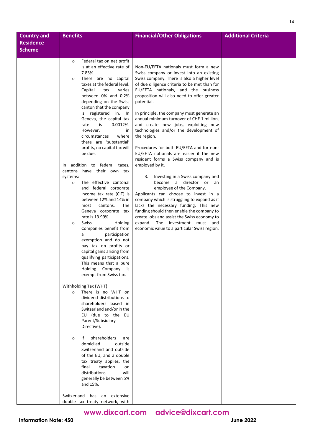| <b>Country and</b> | <b>Benefits</b>                                                | <b>Financial/Other Obligations</b>                                                          | <b>Additional Criteria</b> |
|--------------------|----------------------------------------------------------------|---------------------------------------------------------------------------------------------|----------------------------|
| <b>Residence</b>   |                                                                |                                                                                             |                            |
| <b>Scheme</b>      |                                                                |                                                                                             |                            |
|                    |                                                                |                                                                                             |                            |
|                    | Federal tax on net profit<br>$\circ$                           |                                                                                             |                            |
|                    | is at an effective rate of                                     | Non-EU/EFTA nationals must form a new                                                       |                            |
|                    | 7.83%.                                                         | Swiss company or invest into an existing                                                    |                            |
|                    | There are no capital<br>$\circ$<br>taxes at the federal level. | Swiss company. There is also a higher level<br>of due diligence criteria to be met than for |                            |
|                    | Capital<br>tax<br>varies                                       | EU/EFTA nationals, and the business                                                         |                            |
|                    | between 0% and 0.2%                                            | proposition will also need to offer greater                                                 |                            |
|                    | depending on the Swiss                                         | potential.                                                                                  |                            |
|                    | canton that the company                                        |                                                                                             |                            |
|                    | is registered in. In                                           | In principle, the company must generate an                                                  |                            |
|                    | Geneva, the capital tax                                        | annual minimum turnover of CHF 1 million,                                                   |                            |
|                    | is<br>$0.0012\%$ .<br>rate                                     | and create new jobs, exploiting new                                                         |                            |
|                    | However,<br>in<br>circumstances<br>where                       | technologies and/or the development of<br>the region.                                       |                            |
|                    | there are 'substantial'                                        |                                                                                             |                            |
|                    | profits, no capital tax will                                   | Procedures for both EU/EFTA and for non-                                                    |                            |
|                    | be due.                                                        | EU/EFTA nationals are easier if the new                                                     |                            |
|                    |                                                                | resident forms a Swiss company and is                                                       |                            |
|                    | addition to federal taxes,<br>In                               | employed by it.                                                                             |                            |
|                    | have their own tax<br>cantons                                  |                                                                                             |                            |
|                    | systems:                                                       | Investing in a Swiss company and<br>3.                                                      |                            |
|                    | The effective cantonal<br>$\circ$<br>and federal corporate     | become a director or an<br>employee of the Company.                                         |                            |
|                    | income tax rate (CIT) is                                       | Applicants can choose to invest in a                                                        |                            |
|                    | between 12% and 14% in                                         | company which is struggling to expand as it                                                 |                            |
|                    | most<br>cantons.<br>The                                        | lacks the necessary funding. This new                                                       |                            |
|                    | Geneva corporate tax                                           | funding should then enable the company to                                                   |                            |
|                    | rate is 13.99%.                                                | create jobs and assist the Swiss economy to                                                 |                            |
|                    | <b>Swiss</b><br>Holding<br>$\circ$<br>Companies benefit from   | expand. The investment must add<br>economic value to a particular Swiss region.             |                            |
|                    | participation<br>a                                             |                                                                                             |                            |
|                    | exemption and do not                                           |                                                                                             |                            |
|                    | pay tax on profits or                                          |                                                                                             |                            |
|                    | capital gains arising from                                     |                                                                                             |                            |
|                    | qualifying participations.                                     |                                                                                             |                            |
|                    | This means that a pure                                         |                                                                                             |                            |
|                    | Holding<br>Company is<br>exempt from Swiss tax.                |                                                                                             |                            |
|                    |                                                                |                                                                                             |                            |
|                    | Withholding Tax (WHT)                                          |                                                                                             |                            |
|                    | There is no WHT on<br>$\circ$                                  |                                                                                             |                            |
|                    | dividend distributions to                                      |                                                                                             |                            |
|                    | shareholders based in                                          |                                                                                             |                            |
|                    | Switzerland and/or in the<br>EU (due to the EU                 |                                                                                             |                            |
|                    | Parent/Subsidiary                                              |                                                                                             |                            |
|                    | Directive).                                                    |                                                                                             |                            |
|                    |                                                                |                                                                                             |                            |
|                    | shareholders<br>lf.<br>are<br>$\circ$                          |                                                                                             |                            |
|                    | domiciled<br>outside                                           |                                                                                             |                            |
|                    | Switzerland and outside<br>of the EU, and a double             |                                                                                             |                            |
|                    | tax treaty applies, the                                        |                                                                                             |                            |
|                    | taxation<br>final<br>on                                        |                                                                                             |                            |
|                    | distributions<br>will                                          |                                                                                             |                            |
|                    | generally be between 5%                                        |                                                                                             |                            |
|                    | and 15%.                                                       |                                                                                             |                            |
|                    | Switzerland has an extensive                                   |                                                                                             |                            |
|                    | double tax treaty network, with                                |                                                                                             |                            |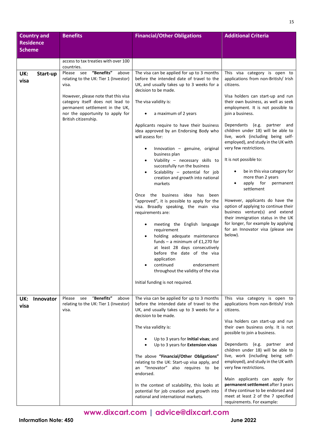| <b>Country and</b>       | <b>Benefits</b>                                                                                                                                                                                                                                               | <b>Financial/Other Obligations</b>                                                                                                                                                                                                                                                                                                                                                                                                                                                                                                                                                                                                                                                                                                                                                                                                                                                                                           | <b>Additional Criteria</b>                                                                                                                                                                                                                                                                                                                                                                                                                                                                                                                                                                                                                                                                                                                                                        |
|--------------------------|---------------------------------------------------------------------------------------------------------------------------------------------------------------------------------------------------------------------------------------------------------------|------------------------------------------------------------------------------------------------------------------------------------------------------------------------------------------------------------------------------------------------------------------------------------------------------------------------------------------------------------------------------------------------------------------------------------------------------------------------------------------------------------------------------------------------------------------------------------------------------------------------------------------------------------------------------------------------------------------------------------------------------------------------------------------------------------------------------------------------------------------------------------------------------------------------------|-----------------------------------------------------------------------------------------------------------------------------------------------------------------------------------------------------------------------------------------------------------------------------------------------------------------------------------------------------------------------------------------------------------------------------------------------------------------------------------------------------------------------------------------------------------------------------------------------------------------------------------------------------------------------------------------------------------------------------------------------------------------------------------|
| <b>Residence</b>         |                                                                                                                                                                                                                                                               |                                                                                                                                                                                                                                                                                                                                                                                                                                                                                                                                                                                                                                                                                                                                                                                                                                                                                                                              |                                                                                                                                                                                                                                                                                                                                                                                                                                                                                                                                                                                                                                                                                                                                                                                   |
| <b>Scheme</b>            |                                                                                                                                                                                                                                                               |                                                                                                                                                                                                                                                                                                                                                                                                                                                                                                                                                                                                                                                                                                                                                                                                                                                                                                                              |                                                                                                                                                                                                                                                                                                                                                                                                                                                                                                                                                                                                                                                                                                                                                                                   |
|                          | access to tax treaties with over 100                                                                                                                                                                                                                          |                                                                                                                                                                                                                                                                                                                                                                                                                                                                                                                                                                                                                                                                                                                                                                                                                                                                                                                              |                                                                                                                                                                                                                                                                                                                                                                                                                                                                                                                                                                                                                                                                                                                                                                                   |
|                          | countries.                                                                                                                                                                                                                                                    |                                                                                                                                                                                                                                                                                                                                                                                                                                                                                                                                                                                                                                                                                                                                                                                                                                                                                                                              |                                                                                                                                                                                                                                                                                                                                                                                                                                                                                                                                                                                                                                                                                                                                                                                   |
| UK:<br>Start-up<br>visa  | "Benefits"<br>Please see<br>above<br>relating to the UK: Tier 1 (Investor)<br>visa.<br>However, please note that this visa<br>category itself does not lead to<br>permanent settlement in the UK,<br>nor the opportunity to apply for<br>British citizenship. | The visa can be applied for up to 3 months<br>before the intended date of travel to the<br>UK, and usually takes up to 3 weeks for a<br>decision to be made.<br>The visa validity is:<br>a maximum of 2 years<br>$\bullet$<br>Applicants require to have their business<br>idea approved by an Endorsing Body who<br>will assess for:<br>Innovation - genuine, original<br>$\bullet$<br>business plan<br>Viability - necessary skills to<br>successfully run the business<br>Scalability - potential for job<br>$\bullet$<br>creation and growth into national<br>markets<br>Once the business<br>idea<br>has<br>been<br>"approved", it is possible to apply for the<br>visa. Broadly speaking, the main visa<br>requirements are:<br>meeting the English language<br>٠<br>requirement<br>holding adequate maintenance<br>funds – a minimum of $£1,270$ for<br>at least 28 days consecutively<br>before the date of the visa | This visa category is open to<br>applications from non-British/ Irish<br>citizens.<br>Visa holders can start-up and run<br>their own business, as well as seek<br>employment. It is not possible to<br>join a business.<br>Dependants (e.g. partner and<br>children under 18) will be able to<br>live, work (including being self-<br>employed), and study in the UK with<br>very few restrictions.<br>It is not possible to:<br>be in this visa category for<br>٠<br>more than 2 years<br>apply<br>for<br>permanent<br>٠<br>settlement<br>However, applicants do have the<br>option of applying to continue their<br>business venture(s) and extend<br>their immigration status in the UK<br>for longer, for example by applying<br>for an Innovator visa (please see<br>below). |
|                          |                                                                                                                                                                                                                                                               | application<br>continued<br>endorsement<br>throughout the validity of the visa<br>Initial funding is not required.                                                                                                                                                                                                                                                                                                                                                                                                                                                                                                                                                                                                                                                                                                                                                                                                           |                                                                                                                                                                                                                                                                                                                                                                                                                                                                                                                                                                                                                                                                                                                                                                                   |
| UK:<br>Innovator<br>visa | "Benefits"<br>Please<br>see<br>above<br>relating to the UK: Tier 1 (Investor)<br>visa.                                                                                                                                                                        | The visa can be applied for up to 3 months<br>before the intended date of travel to the<br>UK, and usually takes up to 3 weeks for a<br>decision to be made.                                                                                                                                                                                                                                                                                                                                                                                                                                                                                                                                                                                                                                                                                                                                                                 | This visa category is open to<br>applications from non-British/ Irish<br>citizens.                                                                                                                                                                                                                                                                                                                                                                                                                                                                                                                                                                                                                                                                                                |
|                          |                                                                                                                                                                                                                                                               | The visa validity is:                                                                                                                                                                                                                                                                                                                                                                                                                                                                                                                                                                                                                                                                                                                                                                                                                                                                                                        | Visa holders can start-up and run<br>their own business only. It is not<br>possible to join a business.                                                                                                                                                                                                                                                                                                                                                                                                                                                                                                                                                                                                                                                                           |
|                          |                                                                                                                                                                                                                                                               | Up to 3 years for Initial visas; and<br>Up to 3 years for Extension visas                                                                                                                                                                                                                                                                                                                                                                                                                                                                                                                                                                                                                                                                                                                                                                                                                                                    | Dependants (e.g.<br>partner and<br>children under 18) will be able to                                                                                                                                                                                                                                                                                                                                                                                                                                                                                                                                                                                                                                                                                                             |
|                          |                                                                                                                                                                                                                                                               | The above "Financial/Other Obligations"<br>relating to the UK: Start-up visa apply, and<br>"Innovator" also requires to be<br>an<br>endorsed.                                                                                                                                                                                                                                                                                                                                                                                                                                                                                                                                                                                                                                                                                                                                                                                | live, work (including being self-<br>employed), and study in the UK with<br>very few restrictions.                                                                                                                                                                                                                                                                                                                                                                                                                                                                                                                                                                                                                                                                                |
|                          |                                                                                                                                                                                                                                                               | In the context of scalability, this looks at<br>potential for job creation and growth into<br>national and international markets.                                                                                                                                                                                                                                                                                                                                                                                                                                                                                                                                                                                                                                                                                                                                                                                            | Main applicants can apply for<br>permanent settlement after 3 years<br>if they continue to be endorsed and<br>meet at least 2 of the 7 specified<br>requirements. For example:                                                                                                                                                                                                                                                                                                                                                                                                                                                                                                                                                                                                    |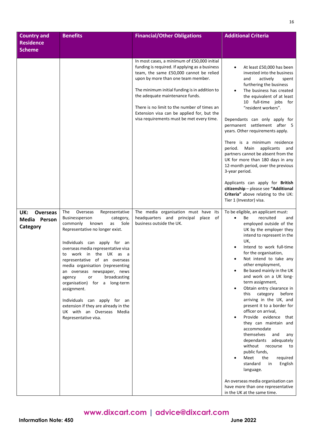| <b>Country and</b><br><b>Residence</b><br><b>Scheme</b> | <b>Benefits</b>                                                                                                                                                                                                                                                                                                                                                                                                                                                                                                                                            | <b>Financial/Other Obligations</b>                                                                                                                                                                                                                                                                                                                                                                           | <b>Additional Criteria</b>                                                                                                                                                                                                                                                                                                                                                                                                                                                                                                                                                                                                                                                                                                                                                                                                               |
|---------------------------------------------------------|------------------------------------------------------------------------------------------------------------------------------------------------------------------------------------------------------------------------------------------------------------------------------------------------------------------------------------------------------------------------------------------------------------------------------------------------------------------------------------------------------------------------------------------------------------|--------------------------------------------------------------------------------------------------------------------------------------------------------------------------------------------------------------------------------------------------------------------------------------------------------------------------------------------------------------------------------------------------------------|------------------------------------------------------------------------------------------------------------------------------------------------------------------------------------------------------------------------------------------------------------------------------------------------------------------------------------------------------------------------------------------------------------------------------------------------------------------------------------------------------------------------------------------------------------------------------------------------------------------------------------------------------------------------------------------------------------------------------------------------------------------------------------------------------------------------------------------|
|                                                         |                                                                                                                                                                                                                                                                                                                                                                                                                                                                                                                                                            | In most cases, a minimum of £50,000 initial<br>funding is required. If applying as a business<br>team, the same £50,000 cannot be relied<br>upon by more than one team member.<br>The minimum initial funding is in addition to<br>the adequate maintenance funds.<br>There is no limit to the number of times an<br>Extension visa can be applied for, but the<br>visa requirements must be met every time. | At least £50,000 has been<br>invested into the business<br>actively<br>and<br>spent<br>furthering the business<br>The business has created<br>$\bullet$<br>the equivalent of at least<br>10 full-time jobs for<br>"resident workers".<br>Dependants can only apply for<br>permanent settlement after 5<br>years. Other requirements apply.<br>There is a minimum residence<br>period. Main applicants<br>and<br>partners cannot be absent from the<br>UK for more than 180 days in any<br>12-month period, over the previous<br>3-year period.<br>Applicants can apply for British<br>citizenship - please see "Additional<br>Criteria" above relating to the UK:<br>Tier 1 (Investor) visa.                                                                                                                                             |
| UK:<br><b>Overseas</b><br>Media Person<br>Category      | The<br>Representative<br>Overseas<br>Businessperson<br>category,<br>commonly<br>known<br>Sole<br>as<br>Representative no longer exist.<br>Individuals can apply for an<br>overseas media representative visa<br>work in the UK as a<br>to<br>representative of an overseas<br>media organisation (representing<br>an overseas newspaper, news<br>broadcasting<br>or<br>agency<br>organisation) for a long-term<br>assignment.<br>Individuals can apply for an<br>extension if they are already in the<br>UK with an Overseas Media<br>Representative visa. | The media organisation must have its<br>headquarters and principal<br>of<br>place<br>business outside the UK.                                                                                                                                                                                                                                                                                                | To be eligible, an applicant must:<br>recruited<br>$\bullet$<br>Be<br>and<br>employed outside of the<br>UK by the employer they<br>intend to represent in the<br>UK,<br>Intend to work full-time<br>for the organisation,<br>Not intend to take any<br>other employment,<br>Be based mainly in the UK<br>and work on a UK long-<br>term assignment,<br>Obtain entry clearance in<br>this category before<br>arriving in the UK, and<br>present it to a border for<br>officer on arrival,<br>Provide evidence that<br>they can maintain and<br>accommodate<br>themselves<br>and<br>any<br>dependants adequately<br>without recourse<br>to<br>public funds,<br>Meet<br>the<br>required<br>standard<br>English<br>in<br>language.<br>An overseas media organisation can<br>have more than one representative<br>in the UK at the same time. |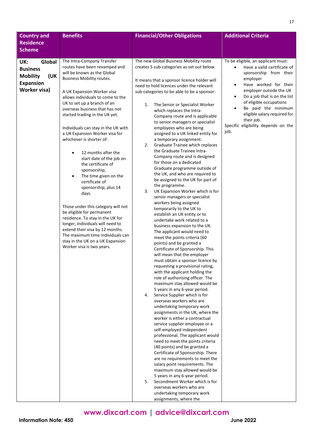| <b>Country and</b>     | <b>Benefits</b>                                                       | <b>Financial/Other Obligations</b>                                                     | <b>Additional Criteria</b>                                    |
|------------------------|-----------------------------------------------------------------------|----------------------------------------------------------------------------------------|---------------------------------------------------------------|
| <b>Residence</b>       |                                                                       |                                                                                        |                                                               |
| <b>Scheme</b>          |                                                                       |                                                                                        |                                                               |
| Global<br>UK:          | The Intra-Company Transfer                                            | The new Global Business Mobility route                                                 | To be eligible, an applicant must:                            |
| <b>Business</b>        | routes have been revamped and                                         | creates 5 sub-categories as set out below.                                             | Have a valid certificate of<br>$\bullet$                      |
| <b>Mobility</b><br>(UK | will be known as the Global                                           |                                                                                        | sponsorship from their                                        |
| <b>Expansion</b>       | <b>Business Mobility routes.</b>                                      | It means that a sponsor licence holder will                                            | employer                                                      |
| <b>Worker visa)</b>    |                                                                       | need to hold licences under the relevant<br>sub-categories to be able to be a sponsor: | Have worked for their<br>$\bullet$<br>employer outside the UK |
|                        | A UK Expansion Worker visa<br>allows individuals to come to the       |                                                                                        | Do a job that is on the list<br>$\bullet$                     |
|                        | UK to set up a branch of an                                           | The Senior or Specialist Worker<br>1.                                                  | of eligible occupations                                       |
|                        | overseas business that has not                                        | which replaces the Intra-                                                              | Be paid the minimum<br>$\bullet$                              |
|                        | started trading in the UK yet.                                        | Company route and is applicable                                                        | eligible salary required for                                  |
|                        |                                                                       | to senior managers or specialist                                                       | their job.<br>Specific eligibility depends on the             |
|                        | Individuals can stay in the UK with<br>a UK Expansion Worker visa for | employees who are being<br>assigned to a UK linked entity for                          | job.                                                          |
|                        | whichever is shorter of:                                              | a temporary assignment.                                                                |                                                               |
|                        |                                                                       | 2.<br>Graduate Trainee which replaces                                                  |                                                               |
|                        | 12 months after the<br>$\bullet$                                      | the Graduate Trainee Intra-                                                            |                                                               |
|                        | start date of the job on                                              | Company route and is designed                                                          |                                                               |
|                        | the certificate of                                                    | for those on a dedicated<br>Graduate programme outside of                              |                                                               |
|                        | sponsorship,<br>The time given on the<br>$\bullet$                    | the UK, and who are required to                                                        |                                                               |
|                        | certificate of                                                        | be assigned to the UK for part of                                                      |                                                               |
|                        | sponsorship, plus 14                                                  | the programme.                                                                         |                                                               |
|                        | days.                                                                 | 3.<br>UK Expansion Worker which is for<br>senior managers or specialist                |                                                               |
|                        |                                                                       | workers being assigned                                                                 |                                                               |
|                        | Those under this category will not                                    | temporarily to the UK to                                                               |                                                               |
|                        | be eligible for permanent<br>residence. To stay in the UK for         | establish an UK entity or to                                                           |                                                               |
|                        | longer, individuals will need to                                      | undertake work related to a                                                            |                                                               |
|                        | extend their visa by 12 months.                                       | business expansion to the UK.<br>The applicant would need to                           |                                                               |
|                        | The maximum time individuals can                                      | meet the points criteria (60                                                           |                                                               |
|                        | stay in the UK on a UK Expansion                                      | points) and be granted a                                                               |                                                               |
|                        | Worker visa is two years.                                             | Certificate of Sponsorship. This                                                       |                                                               |
|                        |                                                                       | will mean that the employer                                                            |                                                               |
|                        |                                                                       | must obtain a sponsor licence by<br>requesting a provisional rating,                   |                                                               |
|                        |                                                                       | with the applicant holding the                                                         |                                                               |
|                        |                                                                       | role of authorising officer. The                                                       |                                                               |
|                        |                                                                       | maximum stay allowed would be                                                          |                                                               |
|                        |                                                                       | 5 years in any 6-year period.<br>Service Supplier which is for<br>4.                   |                                                               |
|                        |                                                                       | overseas workers who are                                                               |                                                               |
|                        |                                                                       | undertaking temporary work                                                             |                                                               |
|                        |                                                                       | assignments in the UK, where the                                                       |                                                               |
|                        |                                                                       | worker is either a contractual                                                         |                                                               |
|                        |                                                                       | service supplier employee or a<br>self-employed independent                            |                                                               |
|                        |                                                                       | professional. The applicant would                                                      |                                                               |
|                        |                                                                       | need to meet the points criteria                                                       |                                                               |
|                        |                                                                       | (40 points) and be granted a                                                           |                                                               |
|                        |                                                                       | Certificate of Sponsorship. There                                                      |                                                               |
|                        |                                                                       | are no requirements to meet the<br>salary point requirements. The                      |                                                               |
|                        |                                                                       | maximum stay allowed would be                                                          |                                                               |
|                        |                                                                       | 5 years in any 6-year period.                                                          |                                                               |
|                        |                                                                       | Secondment Worker which is for<br>5.                                                   |                                                               |
|                        |                                                                       | overseas workers who are                                                               |                                                               |
|                        |                                                                       | undertaking temporary work<br>assignments, where the                                   |                                                               |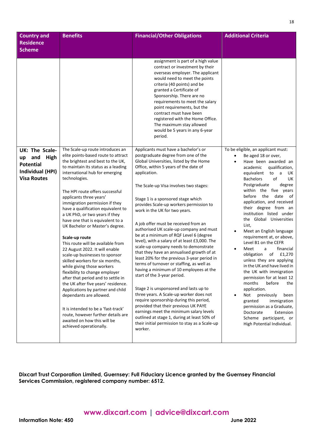| <b>Country and</b>                                                                                | <b>Benefits</b>                                                                                                                                                                                                                                                                                                                                                                                                                                                                                                                                                                                                                                                                                                                                                                                                                                                                                                                                                         | <b>Financial/Other Obligations</b>                                                                                                                                                                                                                                                                                                                                                                                                                                                                                                                                                                                                                                                                                                                                                                                                                                                                                                                                                                                                                                                                                   | <b>Additional Criteria</b>                                                                                                                                                                                                                                                                                                                                                                                                                                                                                                                                                                                                                                                                                                                                                                                                                                                                                                |
|---------------------------------------------------------------------------------------------------|-------------------------------------------------------------------------------------------------------------------------------------------------------------------------------------------------------------------------------------------------------------------------------------------------------------------------------------------------------------------------------------------------------------------------------------------------------------------------------------------------------------------------------------------------------------------------------------------------------------------------------------------------------------------------------------------------------------------------------------------------------------------------------------------------------------------------------------------------------------------------------------------------------------------------------------------------------------------------|----------------------------------------------------------------------------------------------------------------------------------------------------------------------------------------------------------------------------------------------------------------------------------------------------------------------------------------------------------------------------------------------------------------------------------------------------------------------------------------------------------------------------------------------------------------------------------------------------------------------------------------------------------------------------------------------------------------------------------------------------------------------------------------------------------------------------------------------------------------------------------------------------------------------------------------------------------------------------------------------------------------------------------------------------------------------------------------------------------------------|---------------------------------------------------------------------------------------------------------------------------------------------------------------------------------------------------------------------------------------------------------------------------------------------------------------------------------------------------------------------------------------------------------------------------------------------------------------------------------------------------------------------------------------------------------------------------------------------------------------------------------------------------------------------------------------------------------------------------------------------------------------------------------------------------------------------------------------------------------------------------------------------------------------------------|
| <b>Residence</b><br><b>Scheme</b>                                                                 |                                                                                                                                                                                                                                                                                                                                                                                                                                                                                                                                                                                                                                                                                                                                                                                                                                                                                                                                                                         |                                                                                                                                                                                                                                                                                                                                                                                                                                                                                                                                                                                                                                                                                                                                                                                                                                                                                                                                                                                                                                                                                                                      |                                                                                                                                                                                                                                                                                                                                                                                                                                                                                                                                                                                                                                                                                                                                                                                                                                                                                                                           |
|                                                                                                   |                                                                                                                                                                                                                                                                                                                                                                                                                                                                                                                                                                                                                                                                                                                                                                                                                                                                                                                                                                         | assignment is part of a high value<br>contract or investment by their<br>overseas employer. The applicant<br>would need to meet the points<br>criteria (40 points) and be<br>granted a Certificate of<br>Sponsorship. There are no<br>requirements to meet the salary<br>point requirements, but the<br>contract must have been<br>registered with the Home Office.<br>The maximum stay allowed<br>would be 5 years in any 6-year<br>period.                                                                                                                                                                                                                                                                                                                                                                                                                                                                                                                                                                                                                                                                         |                                                                                                                                                                                                                                                                                                                                                                                                                                                                                                                                                                                                                                                                                                                                                                                                                                                                                                                           |
| UK: The Scale-<br>High<br>and<br>up<br><b>Potential</b><br>Individual (HPI)<br><b>Visa Routes</b> | The Scale-up route introduces an<br>elite points-based route to attract<br>the brightest and best to the UK,<br>to maintain its status as a leading<br>international hub for emerging<br>technologies.<br>The HPI route offers successful<br>applicants three years'<br>immigration permission if they<br>have a qualification equivalent to<br>a UK PhD, or two years if they<br>have one that is equivalent to a<br>UK Bachelor or Master's degree.<br>Scale-up route<br>This route will be available from<br>22 August 2022. It will enable<br>scale-up businesses to sponsor<br>skilled workers for six months,<br>while giving those workers<br>flexibility to change employer<br>after that period and to settle in<br>the UK after five years' residence.<br>Applications by partner and child<br>dependants are allowed.<br>It is intended to be a 'fast-track'<br>route, however further details are<br>awaited on how this will be<br>achieved operationally. | Applicants must have a bachelor's or<br>postgraduate degree from one of the<br>Global Universities, listed by the Home<br>Office, within 5 years of the date of<br>application.<br>The Scale-up Visa involves two stages:<br>Stage 1 is a sponsored stage which<br>provides Scale-up workers permission to<br>work in the UK for two years.<br>A job offer must be received from an<br>authorised UK scale-up company and must<br>be at a minimum of RQF Level 6 (degree<br>level), with a salary of at least £3,000. The<br>scale-up company needs to demonstrate<br>that they have an annualised growth of at<br>least 20% for the previous 3-year period in<br>terms of turnover or staffing, as well as<br>having a minimum of 10 employees at the<br>start of the 3-year period.<br>Stage 2 is unsponsored and lasts up to<br>three years. A Scale-up worker does not<br>require sponsorship during this period,<br>provided that their previous UK PAYE<br>earnings meet the minimum salary levels<br>outlined at stage 1, during at least 50% of<br>their initial permission to stay as a Scale-up<br>worker. | To be eligible, an applicant must:<br>Be aged 18 or over,<br>$\bullet$<br>Have been awarded an<br>$\bullet$<br>qualification,<br>academic<br>equivalent<br>to a<br>UK.<br><b>Bachelors</b><br>of<br>UK<br>Postgraduate<br>degree<br>within the five years<br>before the date<br>of<br>application, and received<br>their degree from an<br>institution listed under<br>the Global Universities<br>List,<br>Meet an English language<br>$\bullet$<br>requirement at, or above,<br>Level B1 on the CEFR<br>financial<br>Meet<br>a<br>$\bullet$<br>obligation<br>of £1,270<br>unless they are applying<br>in the UK and have lived in<br>the UK with immigration<br>permission for at least 12<br>months<br>before<br>the<br>application.<br>previously<br>Not<br>been<br>$\bullet$<br>immigration<br>granted<br>permission as a Graduate,<br>Doctorate<br>Extension<br>Scheme participant, or<br>High Potential Individual. |

**Dixcart Trust Corporation Limited, Guernsey: Full Fiduciary Licence granted by the Guernsey Financial Services Commission, registered company number: 6512.**